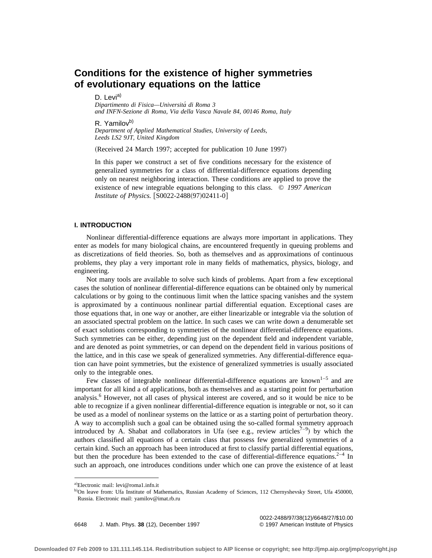# **Conditions for the existence of higher symmetries of evolutionary equations on the lattice**

D. Levi<sup>a)</sup>

*Dipartimento di Fisica—Universita´ di Roma 3 and INFN-Sezione di Roma, Via della Vasca Navale 84, 00146 Roma, Italy*

# R. Yamilov<sup>b)</sup>

*Department of Applied Mathematical Studies, University of Leeds, Leeds LS2 9JT, United Kingdom*

(Received 24 March 1997; accepted for publication 10 June 1997)

In this paper we construct a set of five conditions necessary for the existence of generalized symmetries for a class of differential-difference equations depending only on nearest neighboring interaction. These conditions are applied to prove the existence of new integrable equations belonging to this class. © *1997 American Institute of Physics.* [S0022-2488(97)02411-0]

# **I. INTRODUCTION**

Nonlinear differential-difference equations are always more important in applications. They enter as models for many biological chains, are encountered frequently in queuing problems and as discretizations of field theories. So, both as themselves and as approximations of continuous problems, they play a very important role in many fields of mathematics, physics, biology, and engineering.

Not many tools are available to solve such kinds of problems. Apart from a few exceptional cases the solution of nonlinear differential-difference equations can be obtained only by numerical calculations or by going to the continuous limit when the lattice spacing vanishes and the system is approximated by a continuous nonlinear partial differential equation. Exceptional cases are those equations that, in one way or another, are either linearizable or integrable via the solution of an associated spectral problem on the lattice. In such cases we can write down a denumerable set of exact solutions corresponding to symmetries of the nonlinear differential-difference equations. Such symmetries can be either, depending just on the dependent field and independent variable, and are denoted as point symmetries, or can depend on the dependent field in various positions of the lattice, and in this case we speak of generalized symmetries. Any differential-difference equation can have point symmetries, but the existence of generalized symmetries is usually associated only to the integrable ones.

Few classes of integrable nonlinear differential-difference equations are known<sup>1–5</sup> and are important for all kind a of applications, both as themselves and as a starting point for perturbation analysis.<sup>6</sup> However, not all cases of physical interest are covered, and so it would be nice to be able to recognize if a given nonlinear differential-difference equation is integrable or not, so it can be used as a model of nonlinear systems on the lattice or as a starting point of perturbation theory. A way to accomplish such a goal can be obtained using the so-called formal symmetry approach introduced by A. Shabat and collaborators in Ufa (see e.g., review articles<sup>7–9</sup>) by which the authors classified all equations of a certain class that possess few generalized symmetries of a certain kind. Such an approach has been introduced at first to classify partial differential equations, but then the procedure has been extended to the case of differential-difference equations.<sup>2-4</sup> In such an approach, one introduces conditions under which one can prove the existence of at least

0022-2488/97/38(12)/6648/27/\$10.00

a)Electronic mail: levi@roma1.infn.it

<sup>&</sup>lt;sup>b)</sup>On leave from: Ufa Institute of Mathematics, Russian Academy of Sciences, 112 Chernyshevsky Street, Ufa 450000, Russia. Electronic mail: yamilov@imat.rb.ru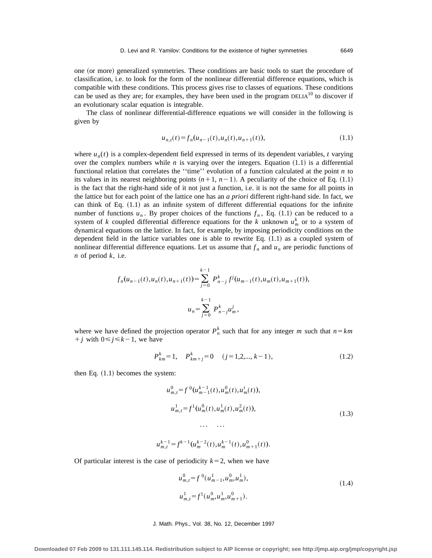one (or more) generalized symmetries. These conditions are basic tools to start the procedure of classification, i.e. to look for the form of the nonlinear differential difference equations, which is compatible with these conditions. This process gives rise to classes of equations. These conditions can be used as they are; for examples, they have been used in the program DELIA<sup>10</sup> to discover if an evolutionary scalar equation is integrable.

The class of nonlinear differential-difference equations we will consider in the following is given by

$$
u_{n,t}(t) = f_n(u_{n-1}(t), u_n(t), u_{n+1}(t)),
$$
\n(1.1)

where  $u_n(t)$  is a complex-dependent field expressed in terms of its dependent variables, *t* varying over the complex numbers while *n* is varying over the integers. Equation  $(1.1)$  is a differential functional relation that correlates the ''time'' evolution of a function calculated at the point *n* to its values in its nearest neighboring points  $(n+1, n-1)$ . A peculiarity of the choice of Eq.  $(1.1)$ is the fact that the right-hand side of it not just a function, i.e. it is not the same for all points in the lattice but for each point of the lattice one has an *a priori* different right-hand side. In fact, we can think of Eq.  $(1.1)$  as an infinite system of different differential equations for the infinite number of functions  $u_n$ . By proper choices of the functions  $f_n$ , Eq. (1.1) can be reduced to a system of *k* coupled differential difference equations for the *k* unknown  $u_m^k$  or to a system of dynamical equations on the lattice. In fact, for example, by imposing periodicity conditions on the dependent field in the lattice variables one is able to rewrite Eq.  $(1.1)$  as a coupled system of nonlinear differential difference equations. Let us assume that  $f_n$  and  $u_n$  are periodic functions of *n* of period *k*, i.e.

$$
f_n(u_{n-1}(t), u_n(t), u_{n+1}(t)) = \sum_{j=0}^{k-1} P_{n-j}^k f^j(u_{m-1}(t), u_m(t), u_{m+1}(t)),
$$
  

$$
u_n = \sum_{j=0}^{k-1} P_{n-j}^k u^j_m,
$$

where we have defined the projection operator  $P_n^k$  such that for any integer *m* such that  $n = km$  $+ j$  with  $0 \leq j \leq k-1$ , we have

$$
P_{km}^k = 1, \quad P_{km+j}^k = 0 \quad (j = 1, 2, \dots, k-1), \tag{1.2}
$$

then Eq.  $(1.1)$  becomes the system:

$$
u_{m,t}^{0} = f^{0}(u_{m-1}^{k-1}(t), u_{m}^{0}(t), u_{m}^{t}(t)),
$$
  
\n
$$
u_{m,t}^{1} = f^{1}(u_{m}^{0}(t), u_{m}^{1}(t), u_{m}^{2}(t)),
$$
  
\n... ...

$$
u_{m,t}^{k-1} = f^{k-1}(u_m^{k-2}(t), u_m^{k-1}(t), u_{m+1}^0(t)).
$$

Of particular interest is the case of periodicity  $k=2$ , when we have

$$
u_{m,t}^{0} = f^{0}(u_{m-1}^{1}, u_{m}^{0}, u_{m}^{1}),
$$
  
\n
$$
u_{m,t}^{1} = f^{1}(u_{m}^{0}, u_{m}^{1}, u_{m+1}^{0}).
$$
\n(1.4)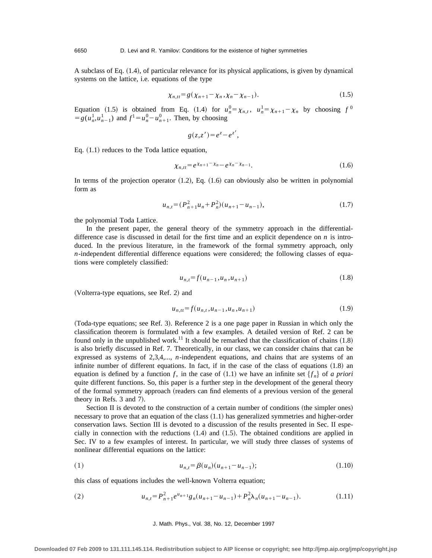A subclass of Eq.  $(1.4)$ , of particular relevance for its physical applications, is given by dynamical systems on the lattice, i.e. equations of the type

$$
\chi_{n,tt} = g(\chi_{n+1} - \chi_n, \chi_n - \chi_{n-1}). \tag{1.5}
$$

Equation (1.5) is obtained from Eq. (1.4) for  $u_n^0 = \chi_{n,t}$ ,  $u_n^1 = \chi_{n+1} - \chi_n$  by choosing  $f^0$  $=g(u_n^1, u_{n-1}^1)$  and  $f^1 = u_n^0 - u_{n+1}^0$ . Then, by choosing

$$
g(z,z')=e^z-e^{z'},
$$

Eq.  $(1.1)$  reduces to the Toda lattice equation,

$$
\chi_{n,tt} = e^{\chi_{n+1} - \chi_n} - e^{\chi_n - \chi_{n-1}}.
$$
\n(1.6)

In terms of the projection operator  $(1.2)$ , Eq.  $(1.6)$  can obviously also be written in polynomial form as

$$
u_{n,t} = (P_{n+1}^2 u_n + P_n^2)(u_{n+1} - u_{n-1}),
$$
\n(1.7)

the polynomial Toda Lattice.

In the present paper, the general theory of the symmetry approach in the differentialdifference case is discussed in detail for the first time and an explicit dependence on *n* is introduced. In the previous literature, in the framework of the formal symmetry approach, only *n*-independent differential difference equations were considered; the following classes of equations were completely classified:

$$
u_{n,t} = f(u_{n-1}, u_n, u_{n+1})
$$
\n(1.8)

(Volterra-type equations, see Ref. 2) and

$$
u_{n,tt} = f(u_{n,t}, u_{n-1}, u_n, u_{n+1})
$$
\n(1.9)

~Toda-type equations; see Ref. 3!. Reference 2 is a one page paper in Russian in which only the classification theorem is formulated with a few examples. A detailed version of Ref. 2 can be found only in the unpublished work.<sup>11</sup> It should be remarked that the classification of chains  $(1.8)$ is also briefly discussed in Ref. 7. Theoretically, in our class, we can consider chains that can be expressed as systems of 2,3,4,..., *n*-independent equations, and chains that are systems of an infinite number of different equations. In fact, if in the case of the class of equations  $(1.8)$  and equation is defined by a function *f*, in the case of  $(1.1)$  we have an infinite set  ${f_n}$  of *a priori* quite different functions. So, this paper is a further step in the development of the general theory of the formal symmetry approach (readers can find elements of a previous version of the general theory in Refs.  $3$  and  $7$ ).

Section II is devoted to the construction of a certain number of conditions (the simpler ones) necessary to prove that an equation of the class  $(1.1)$  has generalized symmetries and higher-order conservation laws. Section III is devoted to a discussion of the results presented in Sec. II especially in connection with the reductions  $(1.4)$  and  $(1.5)$ . The obtained conditions are applied in Sec. IV to a few examples of interest. In particular, we will study three classes of systems of nonlinear differential equations on the lattice:

(1) 
$$
u_{n,t} = \beta(u_n)(u_{n+1} - u_{n-1});
$$
 (1.10)

this class of equations includes the well-known Volterra equation;

(2) 
$$
u_{n,t} = P_{n+1}^2 e^{u_{n+1}} g_n(u_{n+1} - u_{n-1}) + P_n^2 \lambda_n(u_{n+1} - u_{n-1}). \qquad (1.11)
$$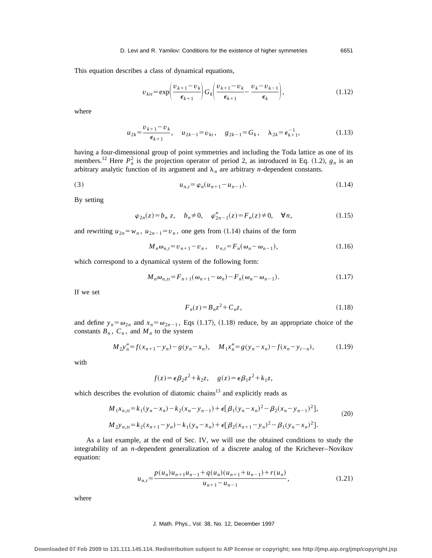This equation describes a class of dynamical equations,

$$
v_{\mathit{kt}} = \exp\left(\frac{v_{k+1} - v_k}{\epsilon_{k+1}}\right) G_k \left(\frac{v_{k+1} - v_k}{\epsilon_{k+1}} - \frac{v_k - v_{k-1}}{\epsilon_k}\right),\tag{1.12}
$$

where

$$
u_{2k} = \frac{v_{k+1} - v_k}{\epsilon_{k+1}}, \quad u_{2k-1} = v_{kt}, \quad g_{2k-1} = G_k, \quad \lambda_{2k} = \epsilon_{k+1}^{-1}, \tag{1.13}
$$

having a four-dimensional group of point symmetries and including the Toda lattice as one of its members.<sup>12</sup> Here  $P_n^2$  is the projection operator of period 2, as introduced in Eq. (1.2),  $g_n$  is an arbitrary analytic function of its argument and  $\lambda_n$  are arbitrary *n*-dependent constants.

(3) 
$$
u_{n,t} = \varphi_n(u_{n+1} - u_{n-1}). \tag{1.14}
$$

By setting

$$
\varphi_{2n}(z) = b_n z, \quad b_n \neq 0, \quad \varphi''_{2n-1}(z) = F_n(z) \neq 0, \quad \forall n,
$$
\n(1.15)

and rewriting  $u_{2n} = w_n$ ,  $u_{2n-1} = v_n$ , one gets from (1.14) chains of the form

$$
M_n \omega_{n,t} = v_{n+1} - v_n, \quad v_{n,t} = F_n(\omega_n - \omega_{n-1}), \tag{1.16}
$$

which correspond to a dynamical system of the following form:

$$
M_n \omega_{n,tt} = F_{n+1}(\omega_{n+1} - \omega_n) - F_n(\omega_n - \omega_{n-1}).
$$
\n(1.17)

If we set

$$
F_n(z) = B_n z^2 + C_n z,\tag{1.18}
$$

and define  $y_n = \omega_{2n}$  and  $x_n = \omega_{2n-1}$ , Eqs (1.17), (1.18) reduce, by an appropriate choice of the constants  $B_n$ ,  $C_n$ , and  $M_n$  to the system

$$
M_2 y_n'' = f(x_{n+1} - y_n) - g(y_n - x_n), \quad M_1 x_n'' = g(y_n - x_n) - f(x_n - y_{i-n}), \tag{1.19}
$$

with

$$
f(z) = \epsilon \beta_2 z^2 + k_2 z, \quad g(z) = \epsilon \beta_1 z^2 + k_1 z,
$$

which describes the evolution of diatomic chains<sup>13</sup> and explicitly reads as

$$
M_1x_{n,tt} = k_1(y_n - x_n) - k_2(x_n - y_{n-1}) + \epsilon [\beta_1(y_n - x_n)^2 - \beta_2(x_n - y_{n-1})^2],
$$
  
\n
$$
M_2y_{n,tt} = k_2(x_{n+1} - y_n) - k_1(y_n - x_n) + \epsilon [\beta_2(x_{n+1} - y_n)^2 - \beta_1(y_n - x_n)^2].
$$
\n(20)

As a last example, at the end of Sec. IV, we will use the obtained conditions to study the integrability of an *n*-dependent generalization of a discrete analog of the Krichever–Novikov equation:

$$
u_{n,t} = \frac{p(u_n)u_{n+1}u_{n-1} + q(u_n)(u_{n+1} + u_{n-1}) + r(u_n)}{u_{n+1} - u_{n-1}},
$$
\n(1.21)

where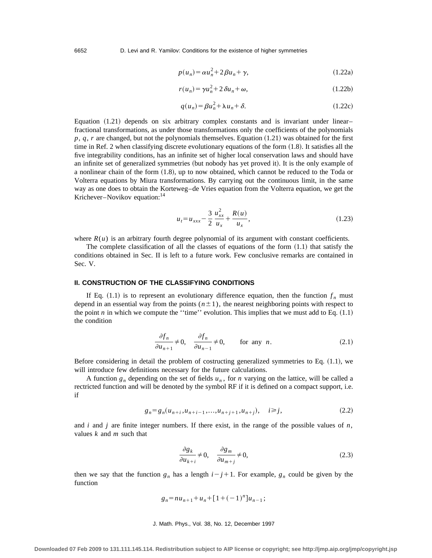$$
p(u_n) = \alpha u_n^2 + 2\beta u_n + \gamma,
$$
\n(1.22a)

$$
r(u_n) = \gamma u_n^2 + 2 \delta u_n + \omega, \qquad (1.22b)
$$

$$
q(u_n) = \beta u_n^2 + \lambda u_n + \delta. \tag{1.22c}
$$

Equation  $(1.21)$  depends on six arbitrary complex constants and is invariant under linear– fractional transformations, as under those transformations only the coefficients of the polynomials  $p$ ,  $q$ ,  $r$  are changed, but not the polynomials themselves. Equation  $(1.21)$  was obtained for the first time in Ref. 2 when classifying discrete evolutionary equations of the form  $(1.8)$ . It satisfies all the five integrability conditions, has an infinite set of higher local conservation laws and should have an infinite set of generalized symmetries (but nobody has yet proved it). It is the only example of a nonlinear chain of the form  $(1.8)$ , up to now obtained, which cannot be reduced to the Toda or Volterra equations by Miura transformations. By carrying out the continuous limit, in the same way as one does to obtain the Korteweg–de Vries equation from the Volterra equation, we get the Krichever–Novikov equation:<sup>14</sup>

$$
u_t = u_{xxx} - \frac{3}{2} \frac{u_{xx}^2}{u_x} + \frac{R(u)}{u_x},
$$
\n(1.23)

where  $R(u)$  is an arbitrary fourth degree polynomial of its argument with constant coefficients.

The complete classification of all the classes of equations of the form  $(1.1)$  that satisfy the conditions obtained in Sec. II is left to a future work. Few conclusive remarks are contained in Sec. V.

# **II. CONSTRUCTION OF THE CLASSIFYING CONDITIONS**

If Eq.  $(1.1)$  is to represent an evolutionary difference equation, then the function  $f_n$  must depend in an essential way from the points  $(n<sup>\pm</sup>1)$ , the nearest neighboring points with respect to the point  $n$  in which we compute the "time" evolution. This implies that we must add to Eq.  $(1.1)$ the condition

$$
\frac{\partial f_n}{\partial u_{n+1}} \neq 0, \quad \frac{\partial f_n}{\partial u_{n-1}} \neq 0, \quad \text{for any } n. \tag{2.1}
$$

Before considering in detail the problem of costructing generalized symmetries to Eq.  $(1.1)$ , we will introduce few definitions necessary for the future calculations.

A function  $g_n$  depending on the set of fields  $u_n$ , for *n* varying on the lattice, will be called a rectricted function and will be denoted by the symbol RF if it is defined on a compact support, i.e. if

$$
g_n = g_n(u_{n+i}, u_{n+i-1}, \dots, u_{n+j+1}, u_{n+j}), \quad i \ge j,
$$
\n(2.2)

and *i* and *j* are finite integer numbers. If there exist, in the range of the possible values of *n*, values *k* and *m* such that

$$
\frac{\partial g_k}{\partial u_{k+i}} \neq 0, \quad \frac{\partial g_m}{\partial u_{m+j}} \neq 0,
$$
\n(2.3)

then we say that the function  $g_n$  has a length  $i-j+1$ . For example,  $g_n$  could be given by the function

$$
g_n = nu_{n+1} + u_n + [1 + (-1)^n]u_{n-1};
$$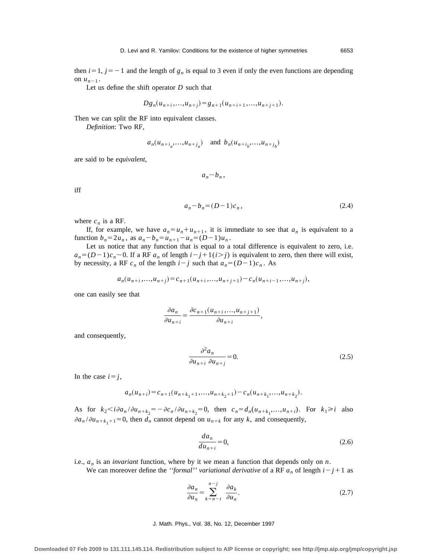then  $i=1$ ,  $j=-1$  and the length of  $g_n$  is equal to 3 even if only the even functions are depending on  $u_{n-1}$ .

Let us define the shift operator *D* such that

$$
Dg_n(u_{n+i},...,u_{n+j}) = g_{n+1}(u_{n+i+1},...,u_{n+j+1}).
$$

Then we can split the RF into equivalent classes.

*Definition*: Two RF,

$$
a_n(u_{n+i_a},...,u_{n+j_a})
$$
 and  $b_n(u_{n+i_b},...,u_{n+j_b})$ 

are said to be *equivalent*,

 $a_n \sim b_n$ ,

iff

$$
a_n - b_n = (D - 1)c_n, \t\t(2.4)
$$

where  $c_n$  is a RF.

If, for example, we have  $a_n = u_n + u_{n+1}$ , it is immediate to see that  $a_n$  is equivalent to a function  $b_n = 2u_n$ , as  $a_n - b_n = u_{n+1} - u_n = (D-1)u_n$ .

Let us notice that any function that is equal to a total difference is equivalent to zero, i.e.  $a_n = (D-1)c_n \sim 0$ . If a RF  $a_n$  of length  $i-j+1(i>j)$  is equivalent to zero, then there will exist, by necessity, a RF  $c_n$  of the length  $i-j$  such that  $a_n = (D-1)c_n$ . As

$$
a_n(u_{n+i},...,u_{n+j}) = c_{n+1}(u_{n+i},...,u_{n+j+1}) - c_n(u_{n+i-1},...,u_{n+j}),
$$

one can easily see that

$$
\frac{\partial a_n}{\partial u_{n+i}} = \frac{\partial c_{n+1}(u_{n+i},...,u_{n+j+1})}{\partial u_{n+i}},
$$

and consequently,

$$
\frac{\partial^2 a_n}{\partial u_{n+i} \partial u_{n+j}} = 0.
$$
\n(2.5)

In the case  $i=j$ ,

$$
a_n(u_{n+i}) = c_{n+1}(u_{n+k_1+1},...,u_{n+k_2+1}) - c_n(u_{n+k_1},...,u_{n+k_2}).
$$

As for  $k_2 < i \partial a_n / \partial u_{n+k_2} = -\partial c_n / \partial u_{n+k_2} = 0$ , then  $c_n = d_n (u_{n+k_1},...,u_{n+i})$ . For  $k_1 \ge i$  also  $\partial a_n / \partial u_{n+k_1+1} = 0$ , then  $d_n$  cannot depend on  $u_{n+k}$  for any *k*, and consequently,

$$
\frac{da_n}{du_{n+i}} = 0,\t\t(2.6)
$$

i.e., *an* is an *invariant* function, where by it we mean a function that depends only on *n*.

We can moreover define the *''formal'' variational derivative* of a RF  $a_n$  of length  $i-j+1$  as

$$
\frac{\partial a_n}{\partial u_n} = \sum_{k=n-i}^{n-j} \frac{\partial a_k}{\partial u_n}.
$$
\n(2.7)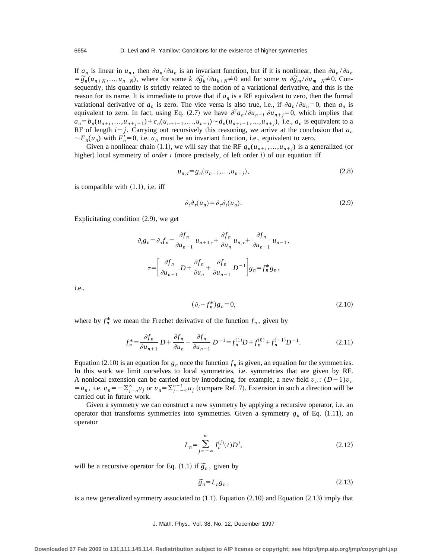If  $a_n$  is linear in  $u_n$ , then  $\partial a_n / \partial u_n$  is an invariant function, but if it is nonlinear, then  $\partial a_n / \partial u_n$  $\frac{d}{dx} = \frac{\partial}{\partial x} (u_{n+N},...,u_{n-N})$ , where for some *k*  $\frac{\partial}{\partial x} / \frac{\partial u_{k+N}}{\partial u_{k+N}} = 0$  and for some *m*  $\frac{\partial}{\partial x} / \frac{\partial u_{m-N}}{\partial u_{m-N}} = 0$ . Consequently, this quantity is strictly related to the notion of a variational derivative, and this is the reason for its name. It is immediate to prove that if *an* is a RF equivalent to zero, then the formal variational derivative of  $a_n$  is zero. The vice versa is also true, i.e., if  $\partial a_n / \partial u_n = 0$ , then  $a_n$  is equivalent to zero. In fact, using Eq. (2.7) we have  $\frac{\partial^2 a_n}{\partial u_{n+1}} \frac{\partial u_{n+1}}{\partial u_{n+1}} = 0$ , which implies that  $a_n = b_n(u_{n+1},...,u_{n+j+1}) + c_n(u_{n+j-1},...,u_{n+j}) \sim d_n(u_{n+j-1},...,u_{n+j}),$  i.e.,  $a_n$  is equivalent to a RF of length  $i-j$ . Carrying out recursively this reasoning, we arrive at the conclusion that  $a_n$  $\sim F_n(u_n)$  with  $F'_n = 0$ , i.e.  $a_n$  must be an invariant function, i.e., equivalent to zero.

Given a nonlinear chain (1.1), we will say that the RF  $g_n(u_{n+i},...,u_{n+j})$  is a generalized (or higher) local symmetry of *order i* (more precisely, of left order *i*) of our equation iff

$$
u_{n,\tau} = g_n(u_{n+i}, \dots, u_{n+j}),
$$
\n(2.8)

is compatible with  $(1.1)$ , i.e. iff

$$
\partial_t \partial_\tau (u_n) = \partial_\tau \partial_t (u_n). \tag{2.9}
$$

Explicitating condition  $(2.9)$ , we get

$$
\partial_t g_n = \partial_{\tau} f_n = \frac{\partial f_n}{\partial u_{n+1}} u_{n+1,\tau} + \frac{\partial f_n}{\partial u_n} u_{n,\tau} + \frac{\partial f_n}{\partial u_{n-1}} u_{n-1},
$$

$$
\tau = \left[ \frac{\partial f_n}{\partial u_{n+1}} D + \frac{\partial f_n}{\partial u_n} + \frac{\partial f_n}{\partial u_{n-1}} D^{-1} \right] g_n = f_n^* g_n,
$$

i.e.,

$$
(\partial_t - f_n^*)g_n = 0,\t(2.10)
$$

where by  $f_n^*$  we mean the Frechet derivative of the function  $f_n$ , given by

$$
f_n^* = \frac{\partial f_n}{\partial u_{n+1}} D + \frac{\partial f_n}{\partial u_n} + \frac{\partial f_n}{\partial u_{n-1}} D^{-1} = f_n^{(1)} D + f_n^{(0)} + f_n^{(-1)} D^{-1}.
$$
 (2.11)

Equation  $(2.10)$  is an equation for  $g_n$  once the function  $f_n$  is given, an equation for the symmetries. In this work we limit ourselves to local symmetries, i.e. symmetries that are given by RF. A nonlocal extension can be carried out by introducing, for example, a new field  $v_n$ :  $(D-1)v_n$  $=u_n$ , i.e.  $v_n = -\sum_{j=n}^{\infty} u_j$  or  $v_n = \sum_{j=-\infty}^{n-1} u_j$  (compare Ref. 7). Extension in such a direction will be carried out in future work.

Given a symmetry we can construct a new symmetry by applying a recursive operator, i.e. an operator that transforms symmetries into symmetries. Given a symmetry  $g_n$  of Eq.  $(1.11)$ , an operator

$$
L_n = \sum_{j=-\infty}^{m} l_n^{(j)}(t) D^j,
$$
\n(2.12)

will be a recursive operator for Eq.  $(1.1)$  if  $\tilde{g}_n$ , given by

$$
\widetilde{g}_n = L_n g_n \,,\tag{2.13}
$$

is a new generalized symmetry associated to  $(1.1)$ . Equation  $(2.10)$  and Equation  $(2.13)$  imply that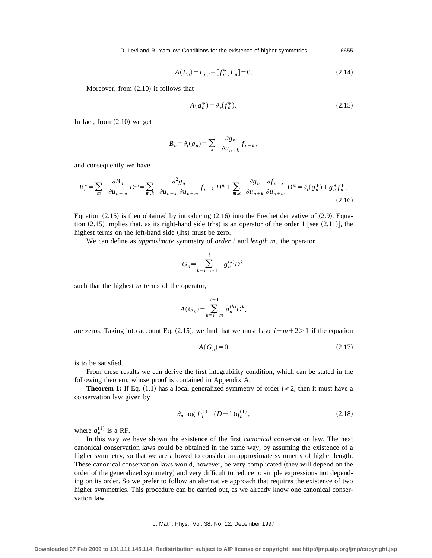$$
A(L_n) = L_{n,t} - [f_n^*, L_n] = 0.
$$
\n(2.14)

Moreover, from  $(2.10)$  it follows that

$$
A(g_n^*) = \partial_\tau(f_n^*). \tag{2.15}
$$

In fact, from  $(2.10)$  we get

$$
B_n = \partial_t(g_n) = \sum_k \frac{\partial g_n}{\partial u_{n+k}} f_{n+k},
$$

and consequently we have

$$
B_n^* = \sum_m \frac{\partial B_n}{\partial u_{n+m}} D^m = \sum_{m,k} \frac{\partial^2 g_n}{\partial u_{n+k}} f_{n+k} D^m + \sum_{m,k} \frac{\partial g_n}{\partial u_{n+k}} \frac{\partial f_{n+k}}{\partial u_{n+m}} D^m = \partial_t (g_n^*) + g_n^* f_n^*.
$$
\n(2.16)

Equation  $(2.15)$  is then obtained by introducing  $(2.16)$  into the Frechet derivative of  $(2.9)$ . Equation  $(2.15)$  implies that, as its right-hand side (rhs) is an operator of the order 1 [see  $(2.11)$ ], the highest terms on the left-hand side (lhs) must be zero.

We can define as *approximate* symmetry of *order i* and *length m*, the operator

$$
G_n = \sum_{k=i-m+1}^{i} g_n^{(k)} D^k,
$$

such that the highest *m* terms of the operator,

$$
A(G_n) = \sum_{k=i-m}^{i+1} a_n^{(k)} D^k,
$$

are zeros. Taking into account Eq.  $(2.15)$ , we find that we must have  $i-m+2>1$  if the equation

$$
A(G_n) = 0 \tag{2.17}
$$

is to be satisfied.

From these results we can derive the first integrability condition, which can be stated in the following theorem, whose proof is contained in Appendix A.

**Theorem 1:** If Eq. (1.1) has a local generalized symmetry of order  $i \ge 2$ , then it must have a conservation law given by

$$
\partial_n \log f_n^{(1)} = (D - 1) q_n^{(1)},\tag{2.18}
$$

where  $q_n^{(1)}$  is a RF.

In this way we have shown the existence of the first *canonical* conservation law. The next canonical conservation laws could be obtained in the same way, by assuming the existence of a higher symmetry, so that we are allowed to consider an approximate symmetry of higher length. These canonical conservation laws would, however, be very complicated (they will depend on the order of the generalized symmetry) and very difficult to reduce to simple expressions not depending on its order. So we prefer to follow an alternative approach that requires the existence of two higher symmetries. This procedure can be carried out, as we already know one canonical conservation law.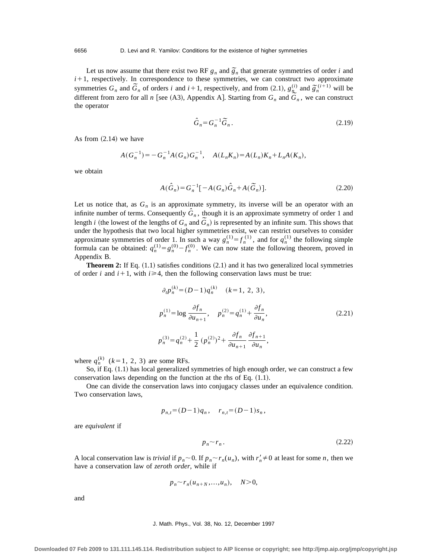Let us now assume that there exist two RF  $g_n$  and  $\tilde{g}_n$  that generate symmetries of order *i* and  $i+1$ , respectively. In correspondence to these symmetries, we can construct two approximate  $i+1$ , respectively. In correspondence to these symmetries, we can construct two approximate symmetries  $G_n$  and  $\tilde{G}_n$  of orders *i* and  $i+1$ , respectively, and from (2.1),  $g_n^{(i)}$  and  $\tilde{g}_n^{(i+1)}$  will be symmetries  $G_n$  and  $G_n$  of orders *i* and  $i+1$ , respectively, and from (2.1),  $g_n^{\gamma}$  and  $g_n^{\gamma}$  will be different from zero for all *n* [see (A3), Appendix A]. Starting from  $G_n$  and  $\tilde{G}_n$ , we can construct the operator

$$
\hat{G}_n = G_n^{-1} \tilde{G}_n. \tag{2.19}
$$

As from  $(2.14)$  we have

$$
A(G_n^{-1}) = -G_n^{-1}A(G_n)G_n^{-1}, \quad A(L_n K_n) = A(L_n)K_n + L_n A(K_n),
$$

we obtain

$$
A(\hat{G}_n) = G_n^{-1}[-A(G_n)\hat{G}_n + A(\tilde{G}_n)].
$$
\n(2.20)

Let us notice that, as  $G_n$  is an approximate symmetry, its inverse will be an operator with an infinite number of terms. Consequently  $\hat{G}_n$ , though it is an approximate symmetry of order 1 and infinite number of terms. Consequently  $G_n$ , though it is an approximate symmetry of order 1 and length *i* (the lowest of the lengths of  $G_n$  and  $\tilde{G}_n$ ) is represented by an infinite sum. This shows that under the hypothesis that two local higher symmetries exist, we can restrict ourselves to consider approximate symmetries of order 1. In such a way  $g_n^{(1)} = f_n^{(1)}$ , and for  $q_n^{(1)}$  the following simple formula can be obtained:  $q_n^{(1)} = g_n^{(0)} - f_n^{(0)}$ . We can now state the following theorem, proved in Appendix B.

**Theorem 2:** If Eq.  $(1.1)$  satisfies conditions  $(2.1)$  and it has two generalized local symmetries of order *i* and  $i+1$ , with  $i \ge 4$ , then the following conservation laws must be true:

$$
\partial_t p_n^{(k)} = (D-1) q_n^{(k)} \quad (k=1, 2, 3),
$$
  
\n
$$
p_n^{(1)} = \log \frac{\partial f_n}{\partial u_{n+1}}, \quad p_n^{(2)} = q_n^{(1)} + \frac{\partial f_n}{\partial u_n},
$$
  
\n
$$
p_n^{(3)} = q_n^{(2)} + \frac{1}{2} (p_n^{(2)})^2 + \frac{\partial f_n}{\partial u_{n+1}} \frac{\partial f_{n+1}}{\partial u_n},
$$
\n(2.21)

where  $q_n^{(k)}$   $(k=1, 2, 3)$  are some RFs.

So, if Eq.  $(1.1)$  has local generalized symmetries of high enough order, we can construct a few conservation laws depending on the function at the rhs of Eq.  $(1.1)$ .

One can divide the conservation laws into conjugacy classes under an equivalence condition. Two conservation laws,

$$
p_{n,t} = (D-1)q_n, \quad r_{n,t} = (D-1)s_n,
$$

are *equivalent* if

$$
p_n \sim r_n. \tag{2.22}
$$

A local conservation law is *trivial* if  $p_n \sim 0$ . If  $p_n \sim r_n(u_n)$ , with  $r'_n \neq 0$  at least for some *n*, then we have a conservation law of *zeroth order*, while if

$$
p_n \sim r_n(u_{n+N},...,u_n), \quad N>0,
$$

and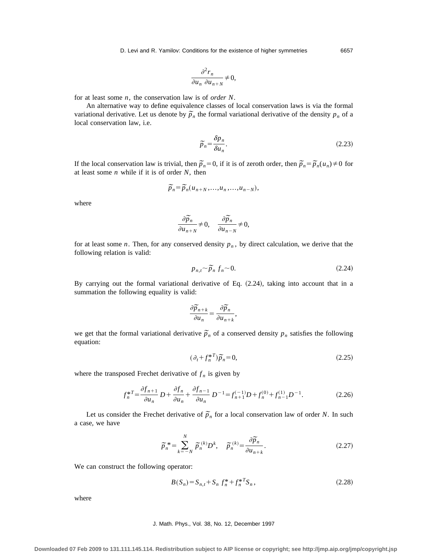$$
\frac{\partial^2 r_n}{\partial u_n \partial u_{n+N}} \neq 0,
$$

for at least some *n*, the conservation law is of *order N*.

An alternative way to define equivalence classes of local conservation laws is via the formal An alternative way to define equivalence classes of local conservation laws is via the formal variational derivative. Let us denote by  $\tilde{p}_n$  the formal variational derivative of the density  $p_n$  of a local conservation law, i.e.

$$
\widetilde{p}_n = \frac{\delta p_n}{\delta u_n}.\tag{2.23}
$$

If the local conservation law is trivial, then  $\tilde{p}_n = 0$ , if it is of zeroth order, then  $\tilde{p}_n = \tilde{p}_n(u_n) \neq 0$  for at least some *n* while if it is of order *N*, then

$$
\widetilde{p}_n = \widetilde{p}_n(u_{n+N}, \ldots, u_n, \ldots, u_{n-N}),
$$

where

$$
\frac{\partial \widetilde{p}_n}{\partial u_{n+N}} \neq 0, \quad \frac{\partial \widetilde{p}_n}{\partial u_{n-N}} \neq 0,
$$

for at least some *n*. Then, for any conserved density  $p_n$ , by direct calculation, we derive that the following relation is valid:

$$
p_{n,t} \sim \widetilde{p}_n \, f_n \sim 0. \tag{2.24}
$$

By carrying out the formal variational derivative of Eq.  $(2.24)$ , taking into account that in a summation the following equality is valid:

$$
\frac{\partial \widetilde{p}_{n+k}}{\partial u_n} = \frac{\partial \widetilde{p}_n}{\partial u_{n+k}},
$$

we get that the formal variational derivative  $\tilde{p}_n$  of a conserved density  $p_n$  satisfies the following equation:

$$
(\partial_t + f_n^* \, T) \, \widetilde{p_n} = 0,\tag{2.25}
$$

where the transposed Frechet derivative of  $f_n$  is given by

$$
f_n^{*T} = \frac{\partial f_{n+1}}{\partial u_n} D + \frac{\partial f_n}{\partial u_n} + \frac{\partial f_{n-1}}{\partial u_n} D^{-1} = f_{n+1}^{(-1)} D + f_n^{(0)} + f_{n-1}^{(1)} D^{-1}.
$$
 (2.26)

Let us consider the Frechet derivative of  $\tilde{p}_n$  for a local conservation law of order *N*. In such a case, we have

$$
\widetilde{p}_n^* = \sum_{k=-N}^N \widetilde{p}_n^{(k)} D^k, \quad \widetilde{p}_n^{(k)} = \frac{\partial \widetilde{p}_n}{\partial u_{n+k}}.
$$
\n(2.27)

We can construct the following operator:

$$
B(S_n) = S_{n,t} + S_n f_n^* + f_n^{*T} S_n, \qquad (2.28)
$$

where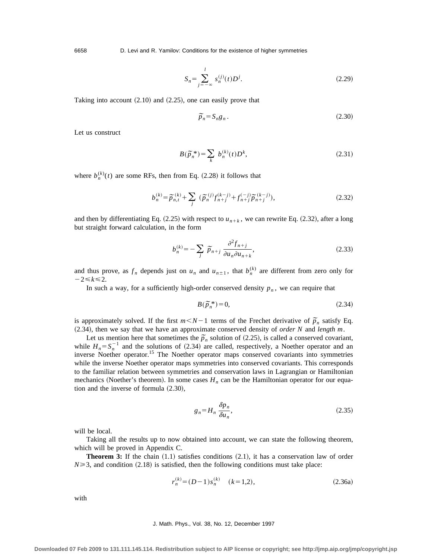$$
S_n = \sum_{j=-\infty}^{l} s_n^{(j)}(t) D^j.
$$
 (2.29)

Taking into account  $(2.10)$  and  $(2.25)$ , one can easily prove that

$$
\widetilde{p}_n = S_n g_n. \tag{2.30}
$$

Let us construct

$$
B(\tilde{p}_n^*) = \sum_k b_n^{(k)}(t)D^k,
$$
\n(2.31)

where  $b_n^{(k)}(t)$  are some RFs, then from Eq. (2.28) it follows that

$$
b_n^{(k)} = \tilde{p}_{n,t}^{(k)} + \sum_j (\tilde{p}_n^{(j)} f_{n+j}^{(k-j)} + f_{n+j}^{(-j)} \tilde{p}_{n+j}^{(k-j)}),
$$
\n(2.32)

and then by differentiating Eq.  $(2.25)$  with respect to  $u_{n+k}$ , we can rewrite Eq.  $(2.32)$ , after a long but straight forward calculation, in the form

$$
b_n^{(k)} = -\sum_j \widetilde{p}_{n+j} \frac{\partial^2 f_{n+j}}{\partial u_n \partial u_{n+k}},
$$
\n(2.33)

and thus prove, as  $f_n$  depends just on  $u_n$  and  $u_{n+1}$ , that  $b_n^{(k)}$  are different from zero only for  $-2 \le k \le 2$ .

In such a way, for a sufficiently high-order conserved density  $p_n$ , we can require that

$$
B(\tilde{p}_n^*) = 0,\t(2.34)
$$

is approximately solved. If the first  $m < N-1$  terms of the Frechet derivative of  $\tilde{p}_n$  satisfy Eq.  $(2.34)$ , then we say that we have an approximate conserved density of *order N* and *length m*.

 $\mu$ , then we say that we have an approximate conserved density of *order i*v and *tengin m*.<br>Let us mention here that sometimes the  $\tilde{p}_n$  solution of (2.25), is called a conserved covariant, while  $H_n = S_n^{-1}$  and the solutions of (2.34) are called, respectively, a Noether operator and an inverse Noether operator.<sup>15</sup> The Noether operator maps conserved covariants into symmetries while the inverse Noether operator maps symmetries into conserved covariants. This corresponds to the familiar relation between symmetries and conservation laws in Lagrangian or Hamiltonian mechanics (Noether's theorem). In some cases  $H_n$  can be the Hamiltonian operator for our equation and the inverse of formula  $(2.30)$ ,

$$
g_n = H_n \frac{\delta p_n}{\delta u_n},\tag{2.35}
$$

will be local.

Taking all the results up to now obtained into account, we can state the following theorem, which will be proved in Appendix C.

**Theorem 3:** If the chain  $(1.1)$  satisfies conditions  $(2.1)$ , it has a conservation law of order  $N \geq 3$ , and condition (2.18) is satisfied, then the following conditions must take place:

$$
r_n^{(k)} = (D-1)s_n^{(k)} \quad (k=1,2),
$$
\n(2.36a)

with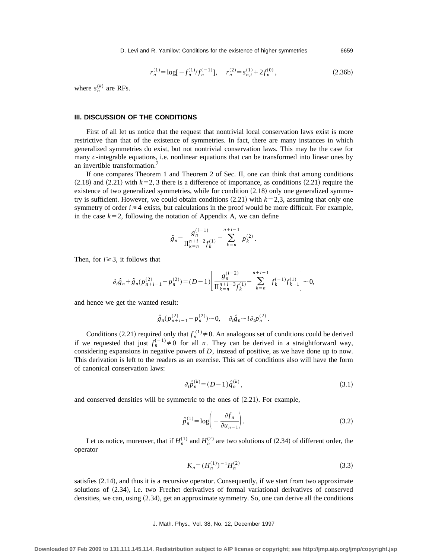$$
r_n^{(1)} = \log[-f_n^{(1)}/f_n^{(-1)}], \quad r_n^{(2)} = s_{n,t}^{(1)} + 2f_n^{(0)}, \tag{2.36b}
$$

where  $s_n^{(k)}$  are RFs.

### **III. DISCUSSION OF THE CONDITIONS**

First of all let us notice that the request that nontrivial local conservation laws exist is more restrictive than that of the existence of symmetries. In fact, there are many instances in which generalized symmetries do exist, but not nontrivial conservation laws. This may be the case for many *c*-integrable equations, i.e. nonlinear equations that can be transformed into linear ones by an invertible transformation.<sup>7</sup>

If one compares Theorem 1 and Theorem 2 of Sec. II, one can think that among conditions  $(2.18)$  and  $(2.21)$  with  $k=2$ , 3 there is a difference of importance, as conditions  $(2.21)$  require the existence of two generalized symmetries, while for condition  $(2.18)$  only one generalized symmetry is sufficient. However, we could obtain conditions  $(2.21)$  with  $k=2,3$ , assuming that only one symmetry of order  $i \geq 4$  exists, but calculations in the proof would be more difficult. For example, in the case  $k=2$ , following the notation of Appendix A, we can define

$$
\hat{g}_n = \frac{g_n^{(i-1)}}{\prod_{k=n}^{n+i-2} f_k^{(1)}} = \sum_{k=n}^{n+i-1} p_k^{(2)}.
$$

Then, for  $i \geq 3$ , it follows that

$$
\partial_t \hat{g}_n + \hat{g}_n (p_{n+i-1}^{(2)} - p_n^{(2)}) = (D-1) \left[ \frac{g_n^{(i-2)}}{\prod_{k=n}^{n+i-3} f_k^{(1)}} - \sum_{k=n}^{n+i-1} f_k^{(-1)} f_{k-1}^{(1)} \right] \sim 0,
$$

and hence we get the wanted result:

$$
\hat{g}_n(p_{n+i-1}^{(2)}-p_n^{(2)})\sim 0, \quad \partial_t \hat{g}_n \sim i \partial_t p_n^{(2)}.
$$

Conditions (2.21) required only that  $f_n^{(1)} \neq 0$ . An analogous set of conditions could be derived if we requested that just  $f_n^{(-1)} \neq 0$  for all *n*. They can be derived in a straightforward way, considering expansions in negative powers of *D*, instead of positive, as we have done up to now. This derivation is left to the readers as an exercise. This set of conditions also will have the form of canonical conservation laws:

$$
\partial_t \hat{p}_n^{(k)} = (D - 1) \hat{q}_n^{(k)},\tag{3.1}
$$

and conserved densities will be symmetric to the ones of  $(2.21)$ . For example,

$$
\hat{p}_n^{(1)} = \log \left( -\frac{\partial f_n}{\partial u_{n-1}} \right). \tag{3.2}
$$

Let us notice, moreover, that if  $H_n^{(1)}$  and  $H_n^{(2)}$  are two solutions of (2.34) of different order, the operator

$$
K_n = (H_n^{(1)})^{-1} H_n^{(2)} \tag{3.3}
$$

satisfies  $(2.14)$ , and thus it is a recursive operator. Consequently, if we start from two approximate solutions of  $(2.34)$ , i.e. two Frechet derivatives of formal variational derivatives of conserved densities, we can, using  $(2.34)$ , get an approximate symmetry. So, one can derive all the conditions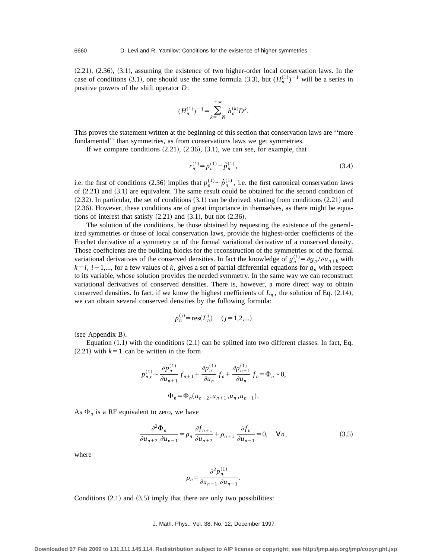$(2.21)$ ,  $(2.36)$ ,  $(3.1)$ , assuming the existence of two higher-order local conservation laws. In the case of conditions (3.1), one should use the same formula (3.3), but  $(H_n^{(1)})^{-1}$  will be a series in positive powers of the shift operator *D*:

$$
(H_n^{(1)})^{-1} = \sum_{k=-N}^{+\infty} h_n^{(k)} D^k.
$$

This proves the statement written at the beginning of this section that conservation laws are ''more fundamental'' than symmetries, as from conservations laws we get symmetries.

If we compare conditions  $(2.21)$ ,  $(2.36)$ ,  $(3.1)$ , we can see, for example, that

$$
r_n^{(1)} = p_n^{(1)} - \hat{p}_n^{(1)},\tag{3.4}
$$

i.e. the first of conditions (2.36) implies that  $p_n^{(1)} \sim \hat{p}_n^{(1)}$ , i.e. the first canonical conservation laws of  $(2.21)$  and  $(3.1)$  are equivalent. The same result could be obtained for the second condition of  $(2.32)$ . In particular, the set of conditions  $(3.1)$  can be derived, starting from conditions  $(2.21)$  and  $(2.36)$ . However, these conditions are of great importance in themselves, as there might be equations of interest that satisfy  $(2.21)$  and  $(3.1)$ , but not  $(2.36)$ .

The solution of the conditions, be those obtained by requesting the existence of the generalized symmetries or those of local conservation laws, provide the highest-order coefficients of the Frechet derivative of a symmetry or of the formal variational derivative of a conserved density. Those coefficients are the building blocks for the reconstruction of the symmetries or of the formal variational derivatives of the conserved densities. In fact the knowledge of  $g_n^{(k)} = \partial g_n / \partial u_{n+k}$  with  $k=i$ ,  $i-1,...$ , for a few values of *k*, gives a set of partial differential equations for  $g_n$  with respect to its variable, whose solution provides the needed symmetry. In the same way we can reconstruct variational derivatives of conserved densities. There is, however, a more direct way to obtain conserved densities. In fact, if we know the highest coefficients of  $L_n$ , the solution of Eq.  $(2.14)$ , we can obtain several conserved densities by the following formula:

$$
p_n^{(j)} = \text{res}(L_n^j)
$$
  $(j = 1, 2, ...)$ 

 $(see Appendix B).$ 

Equation  $(1.1)$  with the conditions  $(2.1)$  can be splitted into two different classes. In fact, Eq.  $(2.21)$  with  $k=1$  can be written in the form

$$
p_{n,t}^{(1)} \sim \frac{\partial p_n^{(1)}}{\partial u_{n+1}} f_{n+1} + \frac{\partial p_n^{(1)}}{\partial u_n} f_n + \frac{\partial p_{n+1}^{(1)}}{\partial u_n} f_n = \Phi_n \sim 0,
$$
  

$$
\Phi_n = \Phi_n(u_{n+2}, u_{n+1}, u_n, u_{n-1}).
$$

As  $\Phi_n$  is a RF equivalent to zero, we have

$$
\frac{\partial^2 \Phi_n}{\partial u_{n+2} \partial u_{n-1}} = \rho_n \frac{\partial f_{n+1}}{\partial u_{n+2}} + \rho_{n+1} \frac{\partial f_n}{\partial u_{n-1}} = 0, \quad \forall n,
$$
\n(3.5)

where

$$
\rho_n = \frac{\partial^2 p_n^{(1)}}{\partial u_{n+1} \partial u_{n-1}}.
$$

Conditions  $(2.1)$  and  $(3.5)$  imply that there are only two possibilities: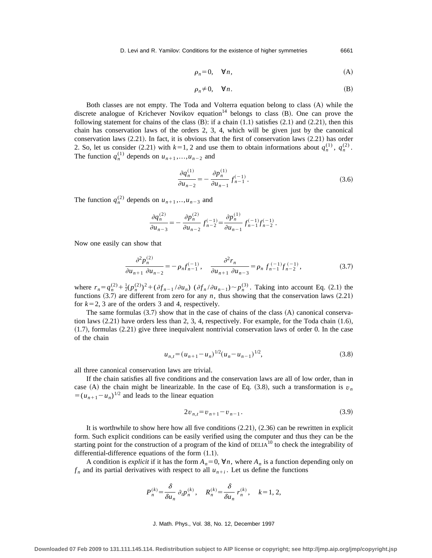$$
\rho_n = 0, \quad \forall n,
$$
\n(A)

$$
\rho_n \neq 0, \quad \forall n. \tag{B}
$$

Both classes are not empty. The Toda and Volterra equation belong to class  $(A)$  while the discrete analogue of Krichever Novikov equation<sup>14</sup> belongs to class  $(B)$ . One can prove the following statement for chains of the class  $(B)$ : if a chain  $(1.1)$  satisfies  $(2.1)$  and  $(2.21)$ , then this chain has conservation laws of the orders 2, 3, 4, which will be given just by the canonical conservation laws  $(2.21)$ . In fact, it is obvious that the first of conservation laws  $(2.21)$  has order 2. So, let us consider (2.21) with  $k=1, 2$  and use them to obtain informations about  $q_n^{(1)}$ ,  $q_n^{(2)}$ . The function  $q_n^{(1)}$  depends on  $u_{n+1}$ ,..., $u_{n-2}$  and

$$
\frac{\partial q_n^{(1)}}{\partial u_{n-2}} = -\frac{\partial p_n^{(1)}}{\partial u_{n-1}} f_{n-1}^{(-1)}.
$$
\n(3.6)

The function  $q_n^{(2)}$  depends on  $u_{n+1}, \ldots, u_{n-3}$  and

$$
\frac{\partial q_n^{(2)}}{\partial u_{n-3}} = -\frac{\partial p_n^{(2)}}{\partial u_{n-2}} f_{n-2}^{(-1)} = \frac{\partial p_n^{(1)}}{\partial u_{n-1}} f_{n-1}^{(-1)} f_{n-2}^{(-1)}.
$$

Now one easily can show that

$$
\frac{\partial^2 p_n^{(2)}}{\partial u_{n+1} \partial u_{n-2}} = -\rho_n f_{n-1}^{(-1)}, \quad \frac{\partial^2 r_n}{\partial u_{n+1} \partial u_{n-3}} = \rho_n f_{n-1}^{(-1)} f_{n-2}^{(-1)},\tag{3.7}
$$

where  $r_n = q_n^{(2)} + \frac{1}{2}(p_n^{(2)})^2 + (\partial f_{n-1}/\partial u_n) (\partial f_n/\partial u_{n-1}) \sim p_n^{(3)}$ . Taking into account Eq. (2.1) the functions  $(3.7)$  are different from zero for any *n*, thus showing that the conservation laws  $(2.21)$ for  $k=2$ , 3 are of the orders 3 and 4, respectively.

The same formulas  $(3.7)$  show that in the case of chains of the class  $(A)$  canonical conservation laws  $(2.21)$  have orders less than 2, 3, 4, respectively. For example, for the Toda chain  $(1.6)$ ,  $(1.7)$ , formulas  $(2.21)$  give three inequivalent nontrivial conservation laws of order 0. In the case of the chain

$$
u_{n,t} = (u_{n+1} - u_n)^{1/2} (u_n - u_{n-1})^{1/2},
$$
\n(3.8)

all three canonical conservation laws are trivial.

If the chain satisfies all five conditions and the conservation laws are all of low order, than in case (A) the chain might be linearizable. In the case of Eq.  $(3.8)$ , such a transformation is  $v<sub>n</sub>$  $=(u_{n+1}-u_n)^{1/2}$  and leads to the linear equation

$$
2v_{n,t} = v_{n+1} - v_{n-1}.
$$
\n(3.9)

It is worthwhile to show here how all five conditions  $(2.21)$ ,  $(2.36)$  can be rewritten in explicit form. Such explicit conditions can be easily verified using the computer and thus they can be the starting point for the construction of a program of the kind of  $DELIA<sup>10</sup>$  to check the integrability of differential-difference equations of the form  $(1.1)$ .

A condition is *explicit* if it has the form  $A_n = 0$ ,  $\forall n$ , where  $A_n$  is a function depending only on  $f_n$  and its partial derivatives with respect to all  $u_{n+i}$ . Let us define the functions

$$
P_n^{(k)} = \frac{\delta}{\delta u_n} \partial_t p_n^{(k)}, \quad R_n^{(k)} = \frac{\delta}{\delta u_n} r_n^{(k)}, \quad k = 1, 2,
$$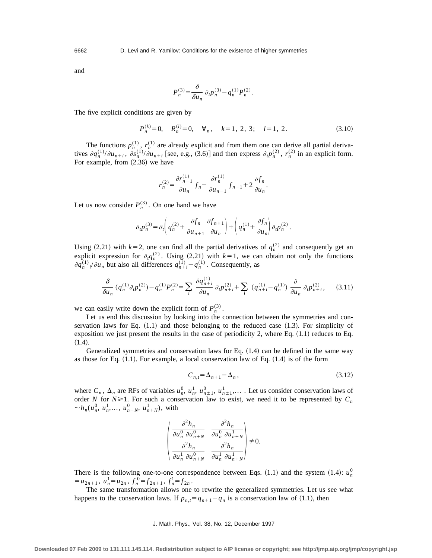and

$$
P_n^{(3)} = \frac{\delta}{\delta u_n} \partial_t p_n^{(3)} - q_n^{(1)} P_n^{(2)}
$$

The five explicit conditions are given by

$$
P_n^{(k)} = 0, \quad R_n^{(l)} = 0, \quad \forall_n, \quad k = 1, 2, 3; \quad l = 1, 2. \tag{3.10}
$$

.

The functions  $p_n^{(1)}$ ,  $r_n^{(1)}$  are already explicit and from them one can derive all partial derivatives  $\partial q_n^{(1)}/\partial u_{n+i}$ ,  $\partial s_n^{(1)}/\partial u_{n+i}$  [see, e.g., (3.6)] and then express  $\partial_t p_n^{(2)}$ ,  $r_n^{(2)}$  in an explicit form. For example, from  $(2.36)$  we have

$$
r_n^{(2)} = \frac{\partial r_{n-1}^{(1)}}{\partial u_n} f_n - \frac{\partial r_n^{(1)}}{\partial u_{n-1}} f_{n-1} + 2 \frac{\partial f_n}{\partial u_n}.
$$

Let us now consider  $P_n^{(3)}$ . On one hand we have

$$
\partial_t p_n^{(3)} = \partial_t \left( q_n^{(2)} + \frac{\partial f_n}{\partial u_{n+1}} \frac{\partial f_{n+1}}{\partial u_n} \right) + \left( q_n^{(1)} + \frac{\partial f_n}{\partial u_n} \right) \partial_t p_n^{(2)}.
$$

Using (2.21) with  $k=2$ , one can find all the partial derivatives of  $q_n^{(2)}$  and consequently get an explicit expression for  $\partial_t q_n^{(2)}$ . Using (2.21) with  $k=1$ , we can obtain not only the functions  $\partial q_{n+i}^{(1)}/\partial u_n$  but also all differences  $q_{n+i}^{(1)}-q_n^{(1)}$ . Consequently, as

$$
\frac{\delta}{\delta u_n} \left( q_n^{(1)} \partial_t p_n^{(2)} \right) - q_n^{(1)} P_n^{(2)} = \sum_i \frac{\partial q_{n+i}^{(1)}}{\partial u_n} \partial_t p_{n+i}^{(2)} + \sum_i \left( q_{n+i}^{(1)} - q_n^{(1)} \right) \frac{\partial}{\partial u_n} \partial_t p_{n+i}^{(2)}, \tag{3.11}
$$

we can easily write down the explicit form of  $P_n^{(3)}$ .

Let us end this discussion by looking into the connection between the symmetries and conservation laws for Eq.  $(1.1)$  and those belonging to the reduced case  $(1.3)$ . For simplicity of exposition we just present the results in the case of periodicity 2, where Eq.  $(1.1)$  reduces to Eq.  $(1.4).$ 

Generalized symmetries and conservation laws for Eq.  $(1.4)$  can be defined in the same way as those for Eq.  $(1.1)$ . For example, a local conservation law of Eq.  $(1.4)$  is of the form

$$
C_{n,t} = \Delta_{n+1} - \Delta_n, \qquad (3.12)
$$

where  $C_n$ ,  $\Delta_n$  are RFs of variables  $u_n^0$ ,  $u_n^1$ ,  $u_{n\pm 1}^0$ ,  $u_{n\pm 1}^1$ ,... Let us consider conservation laws of order *N* for  $N \ge 1$ . For such a conservation law to exist, we need it to be represented by  $C_n$  $\sim h_n(u_n^0, u_n^1, \ldots, u_{n+N}^0, u_{n+N}^1)$ , with

$$
\begin{pmatrix}\n\frac{\partial^2 h_n}{\partial u_n^0 \partial u_{n+N}^0} & \frac{\partial^2 h_n}{\partial u_n^0 \partial u_{n+N}^1} \\
\frac{\partial^2 h_n}{\partial u_n^1 \partial u_{n+N}^0} & \frac{\partial^2 h_n}{\partial u_n^1 \partial u_{n+N}^1}\n\end{pmatrix} \neq 0.
$$

There is the following one-to-one correspondence between Eqs.  $(1.1)$  and the system  $(1.4)$ :  $u_n^0$  $=u_{2n+1}, u_n^1=u_{2n}, f_n^0=f_{2n+1}, f_n^1=f_{2n}.$ 

The same transformation allows one to rewrite the generalized symmetries. Let us see what happens to the conservation laws. If  $p_{n,t} = q_{n+1} - q_n$  is a conservation law of (1.1), then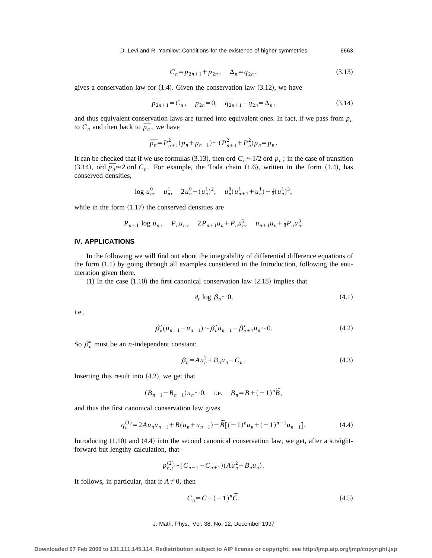$$
C_n = p_{2n+1} + p_{2n}, \quad \Delta_n = q_{2n}, \tag{3.13}
$$

gives a conservation law for  $(1.4)$ . Given the conservation law  $(3.12)$ , we have

$$
\overline{p}_{2n+1} = C_n, \quad \overline{p}_{2n} = 0, \quad \overline{q}_{2n+1} - \overline{q}_{2n} = \Delta_n,
$$
\n(3.14)

and thus equivalent conservation laws are turned into equivalent ones. In fact, if we pass from  $p_n$ and thus equivalent conservation law<br>to  $C_n$  and then back to  $\overline{p}_n$ , we have

$$
\overline{p}_n = P_{n+1}^2 (p_n + p_{n-1}) \sim (P_{n+1}^2 + P_n^2) p_n = p_n.
$$

It can be checked that if we use formulas (3.13), then ord  $C_n \approx 1/2$  ord  $p_n$ ; in the case of transition It can be checked that if we use formulas (3.13), then ord  $C_n \approx 1/2$  ord  $p_n$ ; in the case of transition (3.14), ord  $\bar{p}_n \approx 2$  ord  $C_n$ . For example, the Toda chain (1.6), written in the form (1.4), has conserved densities,

$$
\log u_n^0, \quad u_n^1, \quad 2u_n^0 + (u_n^1)^2, \quad u_n^0(u_{n+1}^1 + u_n^1) + \frac{1}{3}(u_n^1)^3,
$$

while in the form  $(1.17)$  the conserved densities are

$$
P_{n+1} \log u_n
$$
,  $P_n u_n$ ,  $2P_{n+1} u_n + P_n u_n^2$ ,  $u_{n+1} u_n + \frac{1}{3} P_n u_n^3$ .

# **IV. APPLICATIONS**

In the following we will find out about the integrability of differential difference equations of the form  $(1.1)$  by going through all examples considered in the Introduction, following the enumeration given there.

 $(1)$  In the case  $(1.10)$  the first canonical conservation law  $(2.18)$  implies that

$$
\partial_t \log \beta_n \sim 0,\tag{4.1}
$$

i.e.,

$$
\beta'_n(u_{n+1} - u_{n-1}) \sim \beta'_n u_{n+1} - \beta'_{n+1} u_n \sim 0. \tag{4.2}
$$

So  $\beta_n''$  must be an *n*-independent constant:

$$
\beta_n = A u_n^2 + B_n u_n + C_n. \tag{4.3}
$$

Inserting this result into  $(4.2)$ , we get that

$$
(B_{n-1}-B_{n+1})u_n \sim 0
$$
, i.e.  $B_n = B + (-1)^n \widetilde{B}$ ,

and thus the first canonical conservation law gives

$$
q_n^{(1)} = 2Au_nu_{n-1} + B(u_n + u_{n-1}) - \widetilde{B} [(-1)^n u_n + (-1)^{n-1} u_{n-1}].
$$
\n(4.4)

Introducing  $(1.10)$  and  $(4.4)$  into the second canonical conservation law, we get, after a straightforward but lengthy calculation, that

$$
p_{n,t}^{(2)} \sim (C_{n-1} - C_{n+1}) (Au_n^2 + B_n u_n).
$$

It follows, in particular, that if  $A \neq 0$ , then

$$
C_n = C + (-1)^n \widetilde{C}.\tag{4.5}
$$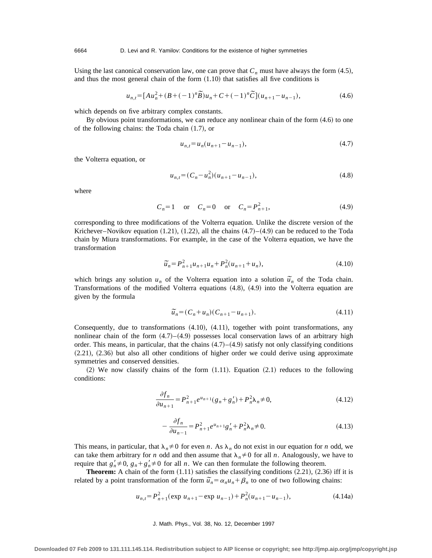Using the last canonical conservation law, one can prove that  $C_n$  must have always the form (4.5), and thus the most general chain of the form  $(1.10)$  that satisfies all five conditions is

$$
u_{n,t} = [Au_n^2 + (B + (-1)^n \widetilde{B})u_n + C + (-1)^n \widetilde{C}](u_{n+1} - u_{n-1}),
$$
\n(4.6)

which depends on five arbitrary complex constants.

By obvious point transformations, we can reduce any nonlinear chain of the form  $(4.6)$  to one of the following chains: the Toda chain  $(1.7)$ , or

$$
u_{n,t} = u_n (u_{n+1} - u_{n-1}),
$$
\n(4.7)

the Volterra equation, or

$$
u_{n,t} = (C_n - u_n^2)(u_{n+1} - u_{n-1}),
$$
\n(4.8)

where

$$
C_n=1
$$
 or  $C_n=0$  or  $C_n=P_{n+1}^2$ , (4.9)

corresponding to three modifications of the Volterra equation. Unlike the discrete version of the Krichever–Novikov equation  $(1.21)$ ,  $(1.22)$ , all the chains  $(4.7)$ – $(4.9)$  can be reduced to the Toda chain by Miura transformations. For example, in the case of the Volterra equation, we have the transformation

$$
\widetilde{u}_n = P_{n+1}^2 u_{n+1} u_n + P_n^2 (u_{n+1} + u_n),\tag{4.10}
$$

which brings any solution  $u_n$  of the Volterra equation into a solution  $\tilde{u}_n$  of the Toda chain. Transformations of the modified Volterra equations  $(4.8)$ ,  $(4.9)$  into the Volterra equation are given by the formula

$$
\widetilde{u_n} = (C_n + u_n)(C_{n+1} - u_{n+1}).
$$
\n(4.11)

Consequently, due to transformations  $(4.10)$ ,  $(4.11)$ , together with point transformations, any nonlinear chain of the form  $(4.7)$ – $(4.9)$  possesses local conservation laws of an arbitrary high order. This means, in particular, that the chains  $(4.7)$ – $(4.9)$  satisfy not only classifying conditions  $(2.21)$ ,  $(2.36)$  but also all other conditions of higher order we could derive using approximate symmetries and conserved densities.

 $(2)$  We now classify chains of the form  $(1.11)$ . Equation  $(2.1)$  reduces to the following conditions:

$$
\frac{\partial f_n}{\partial u_{n+1}} = P_{n+1}^2 e^{u_{n+1}} (g_n + g'_n) + P_n^2 \lambda_n \neq 0,
$$
\n(4.12)

$$
-\frac{\partial f_n}{\partial u_{n-1}} = P_{n+1}^2 e^{u_{n+1}} g_n' + P_n^2 \lambda_n \neq 0.
$$
 (4.13)

This means, in particular, that  $\lambda_n \neq 0$  for even *n*. As  $\lambda_n$  do not exist in our equation for *n* odd, we can take them arbitrary for *n* odd and then assume that  $\lambda_n \neq 0$  for all *n*. Analogously, we have to require that  $g'_n \neq 0$ ,  $g_n + g'_n \neq 0$  for all *n*. We can then formulate the following theorem.

**Theorem:** A chain of the form  $(1.11)$  satisfies the classifying conditions  $(2.21)$ ,  $(2.36)$  iff it is **related** by a point transformation of the form  $\tilde{u}_n = \alpha_n u_n + \beta_n$  to one of two following chains:

$$
u_{n,t} = P_{n+1}^2 (\exp u_{n+1} - \exp u_{n-1}) + P_n^2 (u_{n+1} - u_{n-1}),
$$
\n(4.14a)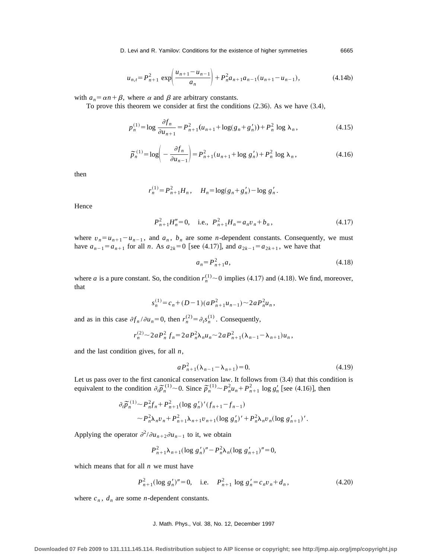$$
u_{n,t} = P_{n+1}^2 \exp\left(\frac{u_{n+1} - u_{n-1}}{a_n}\right) + P_n^2 a_{n+1} a_{n-1} (u_{n+1} - u_{n-1}),
$$
\n(4.14b)

with  $a_n = \alpha n + \beta$ , where  $\alpha$  and  $\beta$  are arbitrary constants.

To prove this theorem we consider at first the conditions  $(2.36)$ . As we have  $(3.4)$ ,

$$
p_n^{(1)} = \log \frac{\partial f_n}{\partial u_{n+1}} = P_{n+1}^2 (u_{n+1} + \log(g_n + g'_n)) + P_n^2 \log \lambda_n, \tag{4.15}
$$

$$
\widetilde{p}_n^{(1)} = \log \left( -\frac{\partial f_n}{\partial u_{n-1}} \right) = P_{n+1}^2 (u_{n+1} + \log g_n') + P_n^2 \log \lambda_n, \tag{4.16}
$$

then

$$
r_n^{(1)} = P_{n+1}^2 H_n
$$
,  $H_n = \log(g_n + g'_n) - \log g'_n$ .

Hence

$$
P_{n+1}^2 H_n'' = 0, \quad \text{i.e., } P_{n+1}^2 H_n = a_n v_n + b_n, \tag{4.17}
$$

where  $v_n = u_{n+1} - u_{n-1}$ , and  $a_n$ ,  $b_n$  are some *n*-dependent constants. Consequently, we must have  $a_{n-1} = a_{n+1}$  for all *n*. As  $a_{2k} = 0$  [see (4.17)], and  $a_{2k-1} = a_{2k+1}$ , we have that

$$
a_n = P_{n+1}^2 a,\tag{4.18}
$$

where *a* is a pure constant. So, the condition  $r_n^{(1)} \sim 0$  implies (4.17) and (4.18). We find, moreover, that

$$
s_n^{(1)} = c_n + (D-1)(aP_{n+1}^2 u_{n-1}) \sim 2aP_n^2 u_n,
$$

and as in this case  $\partial f_n / \partial u_n = 0$ , then  $r_n^{(2)} = \partial_t s_n^{(1)}$ . Consequently,

$$
r_n^{(2)} \sim 2aP_n^2 f_n = 2aP_n^2 \lambda_n u_n \sim 2aP_{n+1}^2 (\lambda_{n-1} - \lambda_{n+1})u_n,
$$

and the last condition gives, for all *n*,

$$
aP_{n+1}^{2}(\lambda_{n-1}-\lambda_{n+1})=0.\t\t(4.19)
$$

Let us pass over to the first canonical conservation law. It follows from  $(3.4)$  that this condition is Let us pass over to the first canonical conservation law. It follows from (5.4) that this conceptivalent to the condition  $\partial_t \tilde{p}_n^{(1)} \sim 0$ . Since  $\tilde{p}_n^{(1)} \sim P_n^2 u_n + P_{n+1}^2 \log g_n^{\prime}$  [see (4.16)], then

$$
\partial_t \widetilde{p}_n^{(1)} \sim P_n^2 f_n + P_{n+1}^2 (\log g_n')'(f_{n+1} - f_{n-1})
$$
  
 
$$
\sim P_n^2 \lambda_n v_n + P_{n+1}^2 \lambda_{n+1} v_{n+1} (\log g_n')' + P_n^2 \lambda_n v_n (\log g_{n+1}')'.
$$

Applying the operator  $\frac{\partial^2}{\partial u_{n+2}} \frac{\partial u_{n-1}}{\partial u_{n-1}}$  to it, we obtain

$$
P_{n+1}^{2} \lambda_{n+1} (\log g_{n}')'' - P_{n}^{2} \lambda_{n} (\log g_{n+1}')'' = 0,
$$

which means that for all *n* we must have

$$
P_{n+1}^{2}(\log g_{n}')''=0, \quad \text{i.e.} \quad P_{n+1}^{2}\log g_{n}'=c_{n}v_{n}+d_{n}, \tag{4.20}
$$

where  $c_n$ ,  $d_n$  are some *n*-dependent constants.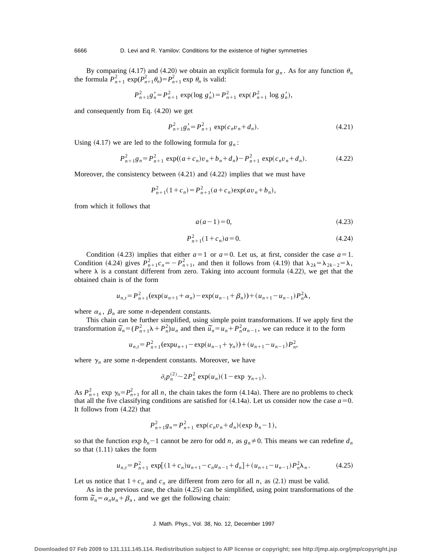By comparing (4.17) and (4.20) we obtain an explicit formula for  $g_n$ . As for any function  $\theta_n$ the formula  $P_{n+1}^2 \exp(P_{n+1}^2 \theta_n) = P_{n+1}^2 \exp(\theta_n)$  is valid:

$$
P_{n+1}^{2}g'_{n} = P_{n+1}^{2} \exp(\log g'_{n}) = P_{n+1}^{2} \exp(P_{n+1}^{2} \log g'_{n}),
$$

and consequently from Eq.  $(4.20)$  we get

$$
P_{n+1}^{2}g'_{n} = P_{n+1}^{2} \exp(c_{n}v_{n} + d_{n}).
$$
\n(4.21)

Using  $(4.17)$  we are led to the following formula for  $g_n$ :

$$
P_{n+1}^2 g_n = P_{n+1}^2 \exp((a+c_n)v_n + b_n + d_n) - P_{n+1}^2 \exp(c_n v_n + d_n).
$$
 (4.22)

Moreover, the consistency between  $(4.21)$  and  $(4.22)$  implies that we must have

$$
P_{n+1}^{2}(1+c_{n})=P_{n+1}^{2}(a+c_{n})\exp(av_{n}+b_{n}),
$$

from which it follows that

$$
a(a-1)=0, \t(4.23)
$$

$$
P_{n+1}^2(1+c_n)a=0.\t\t(4.24)
$$

Condition (4.23) implies that either  $a=1$  or  $a=0$ . Let us, at first, consider the case  $a=1$ . Condition (4.24) gives  $\overline{P}_{n+1}^2 c_n = -P_{n+1}^2$ , and then it follows from (4.19) that  $\lambda_{2k} = \lambda_{2k-2} = \lambda$ , where  $\lambda$  is a constant different from zero. Taking into account formula (4.22), we get that the obtained chain is of the form

$$
u_{n,t} = P_{n+1}^2 (\exp(u_{n+1} + \alpha_n) - \exp(u_{n-1} + \beta_n)) + (u_{n+1} - u_{n-1}) P_n^2 \lambda,
$$

where  $\alpha_n$ ,  $\beta_n$  are some *n*-dependent constants.

This chain can be further simplified, using simple point transformations. If we apply first the transformation  $\tilde{u}_n = (P_{n+1}^2 \lambda + P_n^2) u_n$  and then  $\tilde{u}_n = u_n + P_n^2 \alpha_{n-1}$ , we can reduce it to the form

$$
u_{n,t} = P_{n+1}^2 \left( \exp(u_{n+1} - \exp(u_{n-1} + \gamma_n)) + (u_{n+1} - u_{n-1}) P_n^2 \right)
$$

where  $\gamma_n$  are some *n*-dependent constants. Moreover, we have

$$
\partial_t p_n^{(2)} \sim 2P_n^2 \exp(u_n)(1 - \exp \gamma_{n+1}).
$$

As  $P_{n+1}^2$  exp  $\gamma_n = P_{n+1}^2$  for all *n*, the chain takes the form (4.14a). There are no problems to check that all the five classifying conditions are satisfied for  $(4.14a)$ . Let us consider now the case  $a=0$ . It follows from  $(4.22)$  that

$$
P_{n+1}^{2}g_{n} = P_{n+1}^{2} \exp(c_{n}v_{n} + d_{n})(\exp b_{n} - 1),
$$

so that the function  $\exp b_n - 1$  cannot be zero for odd *n*, as  $g_n \neq 0$ . This means we can redefine  $d_n$ so that  $(1.11)$  takes the form

$$
u_{n,t} = P_{n+1}^2 \exp[(1+c_n)u_{n+1} - c_n u_{n-1} + d_n] + (u_{n+1} - u_{n-1})P_n^2 \lambda_n.
$$
 (4.25)

Let us notice that  $1+c_n$  and  $c_n$  are different from zero for all *n*, as (2.1) must be valid.

As in the previous case, the chain  $(4.25)$  can be simplified, using point transformations of the As in the previous case, the chain (4.25) can be sin<br>form  $\tilde{u}_n = \alpha_n u_n + \beta_n$ , and we get the following chain: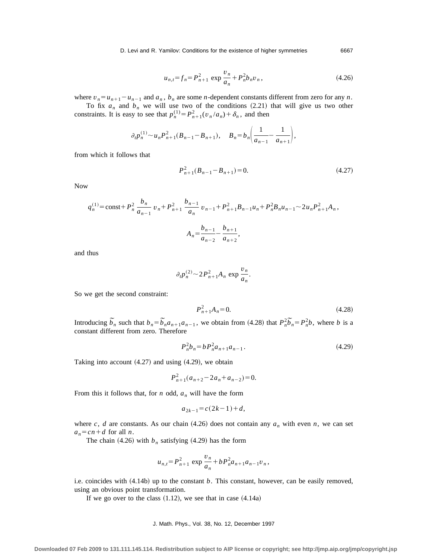$$
u_{n,t} = f_n = P_{n+1}^2 \exp \frac{v_n}{a_n} + P_n^2 b_n v_n, \qquad (4.26)
$$

where  $v_n = u_{n+1} - u_{n-1}$  and  $a_n$ ,  $b_n$  are some *n*-dependent constants different from zero for any *n*.

To fix  $a_n$  and  $b_n$  we will use two of the conditions  $(2.21)$  that will give us two other constraints. It is easy to see that  $p_n^{(1)} = P_{n+1}^2 (v_n/a_n) + \delta_n$ , and then

$$
\partial_t p_n^{(1)} \sim u_n P_{n+1}^2(B_{n-1} - B_{n+1}), \quad B_n = b_n \left( \frac{1}{a_{n-1}} - \frac{1}{a_{n+1}} \right),
$$

from which it follows that

$$
P_{n+1}^2(B_{n-1} - B_{n+1}) = 0. \tag{4.27}
$$

Now

$$
q_n^{(1)} = \text{const} + P_n^2 \frac{b_n}{a_{n-1}} v_n + P_{n+1}^2 \frac{b_{n-1}}{a_n} v_{n-1} + P_{n+1}^2 B_{n-1} u_n + P_n^2 B_n u_{n-1} \sim 2 u_n P_{n+1}^2 A_n,
$$
  

$$
A_n = \frac{b_{n-1}}{a_{n-2}} - \frac{b_{n+1}}{a_{n+2}},
$$

and thus

$$
\partial_t p_n^{(2)} \sim 2P_{n+1}^2 A_n \exp \frac{v_n}{a_n}.
$$

So we get the second constraint:

$$
P_{n+1}^2 A_n = 0. \tag{4.28}
$$

Introducing  $\widetilde{b}_n$  such that  $b_n = \widetilde{b}_n a_{n+1} a_{n-1}$ , we obtain from (4.28) that  $P_n^2 \widetilde{b}_n = P_n^2 b$ , where *b* is a constant different from zero. Therefore

$$
P_n^2 b_n = b P_n^2 a_{n+1} a_{n-1}.
$$
\n(4.29)

Taking into account  $(4.27)$  and using  $(4.29)$ , we obtain

$$
P_{n+1}^2(a_{n+2} - 2a_n + a_{n-2}) = 0.
$$

From this it follows that, for *n* odd,  $a_n$  will have the form

$$
a_{2k-1} = c(2k-1) + d,
$$

where *c*, *d* are constants. As our chain  $(4.26)$  does not contain any  $a_n$  with even *n*, we can set  $a_n = cn + d$  for all *n*.

The chain  $(4.26)$  with  $b_n$  satisfying  $(4.29)$  has the form

$$
u_{n,t} = P_{n+1}^2 \exp \frac{v_n}{a_n} + b P_n^2 a_{n+1} a_{n-1} v_n,
$$

i.e. coincides with  $(4.14b)$  up to the constant *b*. This constant, however, can be easily removed, using an obvious point transformation.

If we go over to the class  $(1.12)$ , we see that in case  $(4.14a)$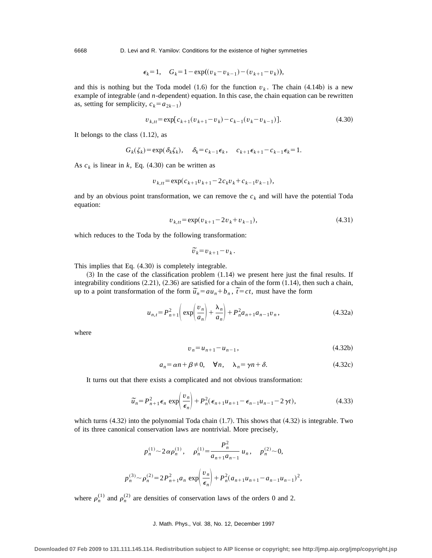$$
\epsilon_k = 1
$$
,  $G_k = 1 - \exp((v_k - v_{k-1}) - (v_{k+1} - v_k))$ ,

and this is nothing but the Toda model  $(1.6)$  for the function  $v_k$ . The chain  $(4.14b)$  is a new example of integrable (and *n*-dependent) equation. In this case, the chain equation can be rewritten as, setting for semplicity,  $c_k = a_{2k-1}$ )

$$
v_{k,tt} = \exp[c_{k+1}(v_{k+1} - v_k) - c_{k-1}(v_k - v_{k-1})]. \tag{4.30}
$$

It belongs to the class  $(1.12)$ , as

$$
G_k(\zeta_k) = \exp(\delta_k \zeta_k), \quad \delta_k = c_{k-1} \epsilon_k, \quad c_{k+1} \epsilon_{k+1} - c_{k-1} \epsilon_k = 1.
$$

As  $c_k$  is linear in  $k$ , Eq.  $(4.30)$  can be written as

$$
v_{k,tt} = \exp(c_{k+1}v_{k+1} - 2c_k v_k + c_{k-1}v_{k-1}),
$$

and by an obvious point transformation, we can remove the  $c_k$  and will have the potential Toda equation:

$$
v_{k,tt} = \exp(v_{k+1} - 2v_k + v_{k-1}),
$$
\n(4.31)

which reduces to the Toda by the following transformation:

$$
\widetilde{v_k} = v_{k+1} - v_k.
$$

This implies that Eq.  $(4.30)$  is completely integrable.

 $(3)$  In the case of the classification problem  $(1.14)$  we present here just the final results. If integrability conditions  $(2.21)$ ,  $(2.36)$  are satisfied for a chain of the form  $(1.14)$ , then such a chain, Integrability conditions (2.21), (2.36) are satisfied for a chain of the form (1.14), then<br>up to a point transformation of the form  $\tilde{u}_n = a u_n + b_n$ ,  $\tilde{t} = ct$ , must have the form

$$
u_{n,t} = P_{n+1}^2 \left( \exp\left(\frac{v_n}{a_n}\right) + \frac{\lambda_n}{a_n} \right) + P_n^2 a_{n+1} a_{n-1} v_n, \tag{4.32a}
$$

where

$$
v_n = u_{n+1} - u_{n-1},\tag{4.32b}
$$

$$
a_n = \alpha n + \beta \neq 0, \quad \forall n, \quad \lambda_n = \gamma n + \delta. \tag{4.32c}
$$

It turns out that there exists a complicated and not obvious transformation:

$$
\widetilde{u}_n = P_{n+1}^2 \epsilon_n \exp\left(\frac{v_n}{\epsilon_n}\right) + P_n^2(\epsilon_{n+1}u_{n+1} - \epsilon_{n-1}u_{n-1} - 2\gamma t), \tag{4.33}
$$

which turns  $(4.32)$  into the polynomial Toda chain  $(1.7)$ . This shows that  $(4.32)$  is integrable. Two of its three canonical conservation laws are nontrivial. More precisely,

$$
p_n^{(1)} \sim 2 \alpha \rho_n^{(1)}, \quad \rho_n^{(1)} = \frac{P_n^2}{a_{n+1} a_{n-1}} u_n, \quad p_n^{(2)} \sim 0,
$$
  

$$
p_n^{(3)} \sim \rho_n^{(2)} = 2P_{n+1}^2 a_n \exp\left(\frac{v_n}{\epsilon_n}\right) + P_n^2 (a_{n+1} u_{n+1} - a_{n-1} u_{n-1})^2,
$$

where  $\rho_n^{(1)}$  and  $\rho_n^{(2)}$  are densities of conservation laws of the orders 0 and 2.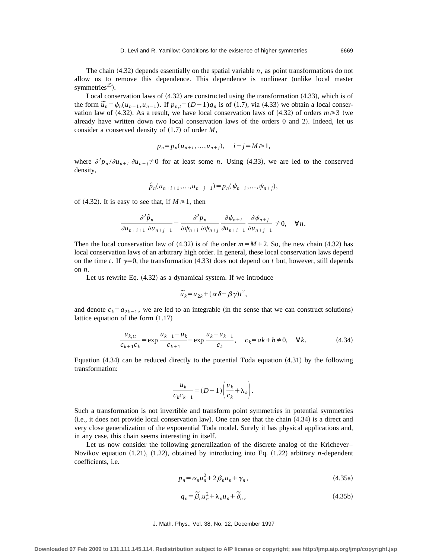The chain  $(4.32)$  depends essentially on the spatial variable *n*, as point transformations do not allow us to remove this dependence. This dependence is nonlinear (unlike local master symmetries $^{15}$ ).

Local conservation laws of  $(4.32)$  are constructed using the transformation  $(4.33)$ , which is of Local conservation laws of (4.52) are constructed using the transformation (4.55), which is on<br>the form  $\tilde{u}_n = \psi_n(u_{n+1}, u_{n-1})$ . If  $p_{n,t} = (D-1)q_n$  is of (1.7), via (4.33) we obtain a local conservation law of  $(4.32)$ . As a result, we have local conservation laws of  $(4.32)$  of orders  $m \ge 3$  (we already have written down two local conservation laws of the orders  $0$  and  $2$ ). Indeed, let us consider a conserved density of  $(1.7)$  of order *M*,

$$
p_n = p_n(u_{n+i},...,u_{n+j}), \quad i - j = M \ge 1,
$$

where  $\partial^2 p_n / \partial u_{n+i} \partial u_{n+j} \neq 0$  for at least some *n*. Using (4.33), we are led to the conserved density,

$$
\hat{p}_n(u_{n+i+1},...,u_{n+j-1}) = p_n(\psi_{n+i},..., \psi_{n+j}),
$$

of (4.32). It is easy to see that, if  $M \ge 1$ , then

$$
\frac{\partial^2 \hat{p}_n}{\partial u_{n+i+1} \partial u_{n+j-1}} = \frac{\partial^2 p_n}{\partial \psi_{n+i} \partial \psi_{n+j}} \frac{\partial \psi_{n+i}}{\partial u_{n+i+1} \partial u_{n+j-1}} \neq 0, \quad \forall n.
$$

Then the local conservation law of (4.32) is of the order  $m=M+2$ . So, the new chain (4.32) has local conservation laws of an arbitrary high order. In general, these local conservation laws depend on the time *t*. If  $\gamma=0$ , the transformation (4.33) does not depend on *t* but, however, still depends on *n*.

Let us rewrite Eq.  $(4.32)$  as a dynamical system. If we introduce

$$
\widetilde{u_k} = u_{2k} + (\alpha \delta - \beta \gamma) t^2,
$$

and denote  $c_k = a_{2k-1}$ , we are led to an integrable (in the sense that we can construct solutions) lattice equation of the form  $(1.17)$ 

$$
\frac{u_{k,tt}}{c_{k+1}c_k} = \exp\frac{u_{k+1} - u_k}{c_{k+1}} - \exp\frac{u_k - u_{k-1}}{c_k}, \quad c_k = ak + b \neq 0, \quad \forall k.
$$
 (4.34)

Equation  $(4.34)$  can be reduced directly to the potential Toda equation  $(4.31)$  by the following transformation:

$$
\frac{u_k}{c_k c_{k+1}} = (D-1) \left( \frac{v_k}{c_k} + \lambda_k \right).
$$

Such a transformation is not invertible and transform point symmetries in potential symmetries  $(i.e., it does not provide local conservation law).$  One can see that the chain  $(4.34)$  is a direct and very close generalization of the exponential Toda model. Surely it has physical applications and, in any case, this chain seems interesting in itself.

Let us now consider the following generalization of the discrete analog of the Krichever– Novikov equation  $(1.21)$ ,  $(1.22)$ , obtained by introducing into Eq.  $(1.22)$  arbitrary *n*-dependent coefficients, i.e.

$$
p_n = \alpha_n u_n^2 + 2\beta_n u_n + \gamma_n, \qquad (4.35a)
$$

$$
q_n = \widetilde{\beta}_n u_n^2 + \lambda_n u_n + \widetilde{\delta}_n, \qquad (4.35b)
$$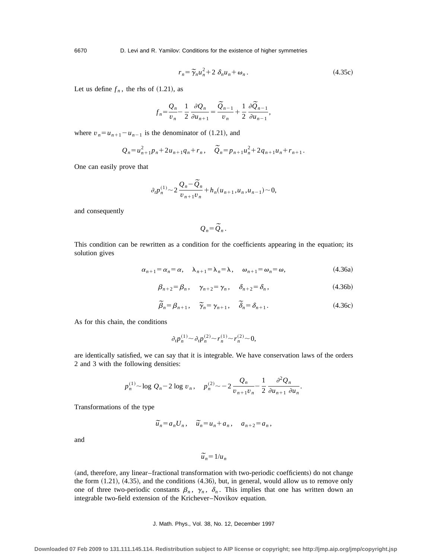$$
r_n = \tilde{\gamma}_n u_n^2 + 2 \delta_n u_n + \omega_n. \tag{4.35c}
$$

Let us define  $f_n$ , the rhs of  $(1.21)$ , as

$$
f_n = \frac{Q_n}{v_n} - \frac{1}{2} \frac{\partial Q_n}{\partial u_{n+1}} = \frac{\widetilde{Q}_{n-1}}{v_n} + \frac{1}{2} \frac{\partial \widetilde{Q}_{n-1}}{\partial u_{n-1}},
$$

where  $v_n = u_{n+1} - u_{n-1}$  is the denominator of (1.21), and

$$
Q_n = u_{n+1}^2 p_n + 2u_{n+1}q_n + r_n, \quad \widetilde{Q}_n = p_{n+1}u_n^2 + 2q_{n+1}u_n + r_{n+1}.
$$

One can easily prove that

$$
\partial_t p_n^{(1)} \sim 2 \frac{Q_n - \widetilde{Q}_n}{v_{n+1} v_n} + h_n(u_{n+1}, u_n, u_{n-1}) \sim 0,
$$

and consequently

$$
Q_n = \widetilde{Q}_n.
$$

This condition can be rewritten as a condition for the coefficients appearing in the equation; its solution gives

$$
\alpha_{n+1} = \alpha_n = \alpha, \quad \lambda_{n+1} = \lambda_n = \lambda, \quad \omega_{n+1} = \omega_n = \omega,
$$
\n(4.36a)

$$
\beta_{n+2} = \beta_n, \quad \gamma_{n+2} = \gamma_n, \quad \delta_{n+2} = \delta_n,
$$
\n(4.36b)

$$
\widetilde{\beta}_n = \beta_{n+1}, \quad \widetilde{\gamma}_n = \gamma_{n+1}, \quad \widetilde{\delta}_n = \delta_{n+1}.
$$
\n(4.36c)

As for this chain, the conditions

$$
\partial_t p_n^{(1)} \sim \partial_t p_n^{(2)} \sim r_n^{(1)} \sim r_n^{(2)} \sim 0,
$$

are identically satisfied, we can say that it is integrable. We have conservation laws of the orders 2 and 3 with the following densities:

$$
p_n^{(1)} \sim \log Q_n - 2 \log v_n
$$
,  $p_n^{(2)} \sim -2 \frac{Q_n}{v_{n+1}v_n} - \frac{1}{2} \frac{\partial^2 Q_n}{\partial u_{n+1} \partial u_n}$ .

Transformations of the type

$$
\widetilde{u_n} = a_n U_n, \quad \widetilde{u_n} = u_n + a_n, \quad a_{n+2} = a_n,
$$

and

$$
\widetilde{u_n} = 1/u_n
$$

(and, therefore, any linear–fractional transformation with two-periodic coefficients) do not change the form  $(1.21)$ ,  $(4.35)$ , and the conditions  $(4.36)$ , but, in general, would allow us to remove only one of three two-periodic constants  $\beta_n$ ,  $\gamma_n$ ,  $\delta_n$ . This implies that one has written down an integrable two-field extension of the Krichever–Novikov equation.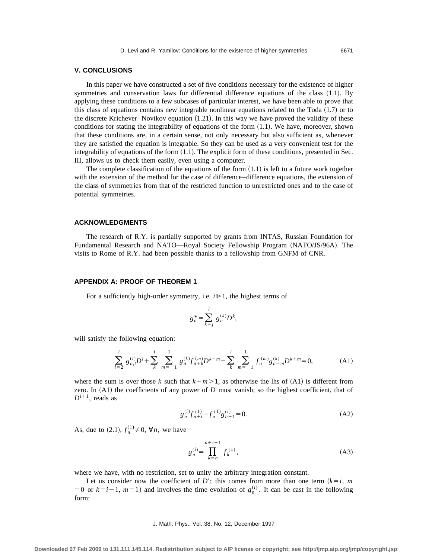### **V. CONCLUSIONS**

In this paper we have constructed a set of five conditions necessary for the existence of higher symmetries and conservation laws for differential difference equations of the class  $(1.1)$ . By applying these conditions to a few subcases of particular interest, we have been able to prove that this class of equations contains new integrable nonlinear equations related to the Toda  $(1.7)$  or to the discrete Krichever–Novikov equation  $(1.21)$ . In this way we have proved the validity of these conditions for stating the integrability of equations of the form  $(1.1)$ . We have, moreover, shown that these conditions are, in a certain sense, not only necessary but also sufficient as, whenever they are satisfied the equation is integrable. So they can be used as a very convenient test for the integrability of equations of the form  $(1.1)$ . The explicit form of these conditions, presented in Sec. III, allows us to check them easily, even using a computer.

The complete classification of the equations of the form  $(1.1)$  is left to a future work together with the extension of the method for the case of difference–difference equations, the extension of the class of symmetries from that of the restricted function to unrestricted ones and to the case of potential symmetries.

# **ACKNOWLEDGMENTS**

The research of R.Y. is partially supported by grants from INTAS, Russian Foundation for Fundamental Research and NATO—Royal Society Fellowship Program (NATO/JS/96A). The visits to Rome of R.Y. had been possible thanks to a fellowship from GNFM of CNR.

## **APPENDIX A: PROOF OF THEOREM 1**

For a sufficiently high-order symmetry, i.e.  $i \ge 1$ , the highest terms of

$$
g_n^* = \sum_{k=j}^i g_n^{(k)} D^k,
$$

will satisfy the following equation:

$$
\sum_{l=2}^{i} g_{n,l}^{(l)} D^{l} + \sum_{k}^{i} \sum_{m=-1}^{1} g_{n}^{(k)} f_{n+k}^{(m)} D^{k+m} - \sum_{k}^{i} \sum_{m=-1}^{1} f_{n}^{(m)} g_{n+m}^{(k)} D^{k+m} = 0,
$$
 (A1)

where the sum is over those *k* such that  $k+m>1$ , as otherwise the lhs of (A1) is different from zero. In  $(A1)$  the coefficients of any power of *D* must vanish; so the highest coefficient, that of  $D^{i+1}$ , reads as

$$
g_n^{(i)} f_{n+i}^{(1)} - f_n^{(1)} g_{n+1}^{(i)} = 0.
$$
 (A2)

As, due to  $(2.1), f_n^{(1)} \neq 0, \forall n$ , we have

$$
g_n^{(i)} = \prod_{k=n}^{n+i-1} f_k^{(1)},
$$
 (A3)

where we have, with no restriction, set to unity the arbitrary integration constant.

Let us consider now the coefficient of  $D^i$ ; this comes from more than one term  $(k=i, m)$  $=0$  or  $k=i-1$ ,  $m=1$ ) and involves the time evolution of  $g_n^{(i)}$ . It can be cast in the following form: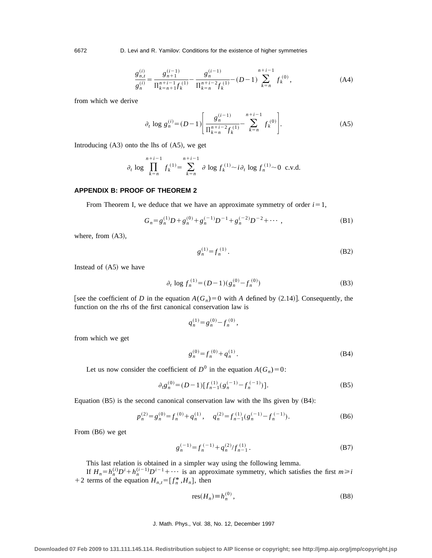$$
\frac{g_{n,t}^{(i)}}{g_n^{(i)}} = \frac{g_{n+1}^{(i-1)}}{\prod_{k=n+1}^{n+i-1} f_k^{(1)}} - \frac{g_n^{(i-1)}}{\prod_{k=n}^{n+i-2} f_k^{(1)}} - (D-1) \sum_{k=n}^{n+i-1} f_k^{(0)},
$$
\n(A4)

from which we derive

$$
\partial_t \log g_n^{(i)} = (D-1) \left[ \frac{g_n^{(i-1)}}{\prod_{k=n}^{n+i-2} f_k^{(1)}} - \sum_{k=n}^{n+i-1} f_k^{(0)} \right]. \tag{A5}
$$

Introducing  $(A3)$  onto the lhs of  $(A5)$ , we get

$$
\partial_t \log \prod_{k=n}^{n+i-1} f_k^{(1)} = \sum_{k=n}^{n+i-1} \partial \log f_k^{(1)} \sim i \partial_t \log f_n^{(1)} \sim 0 \text{ c.v.d.}
$$

# **APPENDIX B: PROOF OF THEOREM 2**

From Theorem I, we deduce that we have an approximate symmetry of order  $i=1$ ,

$$
G_n = g_n^{(1)}D + g_n^{(0)} + g_n^{(-1)}D^{-1} + g_n^{(-2)}D^{-2} + \cdots,
$$
 (B1)

where, from  $(A3)$ ,

$$
g_n^{(1)} = f_n^{(1)}.
$$
 (B2)

Instead of  $(A5)$  we have

$$
\partial_t \log f_n^{(1)} = (D - 1)(g_n^{(0)} - f_n^{(0)})
$$
 (B3)

[see the coefficient of *D* in the equation  $A(G_n)=0$  with *A* defined by (2.14)]. Consequently, the function on the rhs of the first canonical conservation law is

$$
q_n^{(1)} = g_n^{(0)} - f_n^{(0)},
$$

from which we get

$$
g_n^{(0)} = f_n^{(0)} + q_n^{(1)}.
$$
 (B4)

Let us now consider the coefficient of  $D^0$  in the equation  $A(G_n)=0$ :

$$
\partial_t g_n^{(0)} = (D-1) \left[ f_{n-1}^{(1)} (g_n^{(-1)} - f_n^{(-1)}) \right].
$$
 (B5)

Equation  $(B5)$  is the second canonical conservation law with the lhs given by  $(B4)$ :

$$
p_n^{(2)} = g_n^{(0)} = f_n^{(0)} + q_n^{(1)}, \quad q_n^{(2)} = f_{n-1}^{(1)}(g_n^{(-1)} - f_n^{(-1)}).
$$
 (B6)

From  $(B6)$  we get

$$
g_n^{(-1)} = f_n^{(-1)} + q_n^{(2)} / f_{n-1}^{(1)}.
$$
 (B7)

This last relation is obtained in a simpler way using the following lemma.

If  $H_n = h_n^{(i)} D^i + h_n^{(i-1)} D^{i-1} + \cdots$  is an approximate symmetry, which satisfies the first  $m \ge i$ +2 terms of the equation  $H_{n,t} = [f_n^*, H_n]$ , then

$$
res(H_n) \equiv h_n^{(0)}, \tag{B8}
$$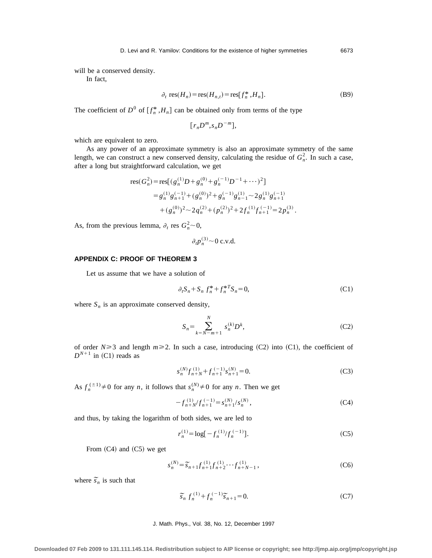will be a conserved density.

In fact,

$$
\partial_t \operatorname{res}(H_n) = \operatorname{res}(H_{n,t}) = \operatorname{res}[f_n^*, H_n].
$$
\n(B9)

The coefficient of  $D^0$  of  $[f_n^*, H_n]$  can be obtained only from terms of the type

$$
[r_n D^m, s_n D^{-m}],
$$

which are equivalent to zero.

As any power of an approximate symmetry is also an approximate symmetry of the same length, we can construct a new conserved density, calculating the residue of  $G_n^2$ . In such a case, after a long but straightforward calculation, we get

res
$$
(G_n^2)
$$
 = res $[(g_n^{(1)}D + g_n^{(0)} + g_n^{(-1)}D^{-1} + \cdots)^2]$   
=  $g_n^{(1)}g_{n+1}^{(-1)} + (g_n^{(0)})^2 + g_n^{(-1)}g_{n-1}^{(1)} \sim 2g_n^{(1)}g_{n+1}^{(-1)} + (g_n^{(0)})^2 \sim 2g_n^{(2)} + (p_n^{(2)})^2 + 2f_n^{(1)}f_{n+1}^{(-1)} = 2p_n^{(3)}$ .

As, from the previous lemma,  $\partial_t$  res  $G_n^2 \sim 0$ ,

$$
\partial_t p_n^{(3)} \sim 0 \text{ c.v.d.}
$$

# **APPENDIX C: PROOF OF THEOREM 3**

Let us assume that we have a solution of

$$
\partial_t S_n + S_n f_n^* + f_n^{*T} S_n = 0,\tag{C1}
$$

where  $S_n$  is an approximate conserved density,

$$
S_n = \sum_{k=N-m+1}^{N} s_n^{(k)} D^k,
$$
 (C2)

of order  $N \ge 3$  and length  $m \ge 2$ . In such a case, introducing (C2) into (C1), the coefficient of  $D^{N+1}$  in (C1) reads as

$$
s_n^{(N)} f_{n+N}^{(1)} + f_{n+1}^{(-1)} s_{n+1}^{(N)} = 0.
$$
 (C3)

As  $f_n^{(\pm 1)} \neq 0$  for any *n*, it follows that  $s_n^{(N)} \neq 0$  for any *n*. Then we get

$$
-f_{n+N}^{(1)}/f_{n+1}^{(-1)} = s_{n+1}^{(N)}/s_n^{(N)},
$$
\n(C4)

and thus, by taking the logarithm of both sides, we are led to

$$
r_n^{(1)} = \log[-f_n^{(1)}/f_n^{(-1)}].
$$
 (C5)

From  $(C4)$  and  $(C5)$  we get

$$
s_n^{(N)} = \widetilde{s}_{n+1} f_{n+1}^{(1)} f_{n+2}^{(1)} \cdots f_{n+N-1}^{(1)},
$$
 (C6)

where  $\tilde{s}_n$  is such that

$$
\widetilde{s}_n f_n^{(1)} + f_n^{(-1)} \widetilde{s}_{n+1} = 0. \tag{C7}
$$